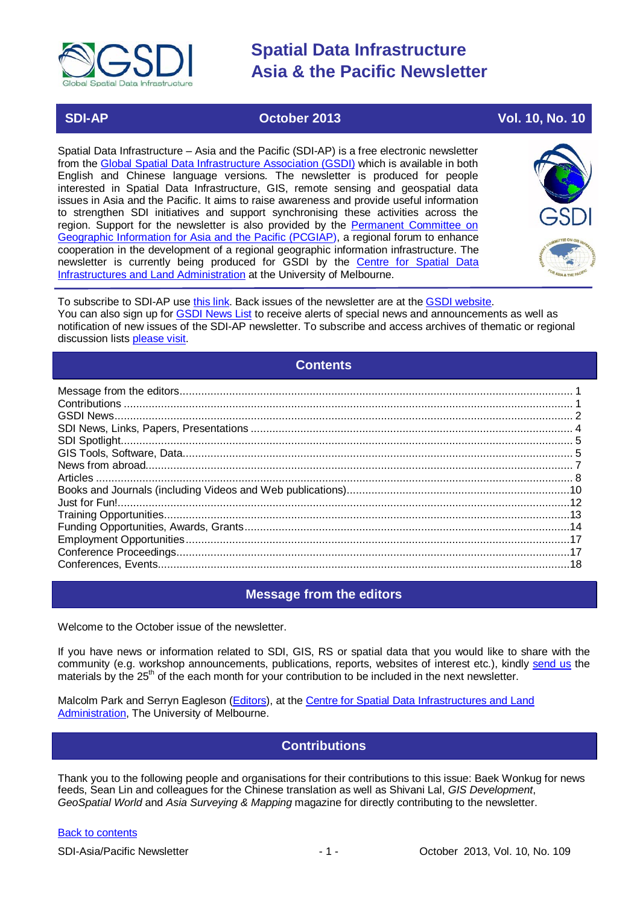

# **SDI-AP October 2013 Vol. 10, No. 10**

Spatial Data Infrastructure – Asia and the Pacific (SDI-AP) is a free electronic newsletter from the [Global Spatial Data Infrastructure Association \(GSDI\)](http://www.gsdi.org/) which is available in both English and Chinese language versions. The newsletter is produced for people interested in Spatial Data Infrastructure, GIS, remote sensing and geospatial data issues in Asia and the Pacific. It aims to raise awareness and provide useful information to strengthen SDI initiatives and support synchronising these activities across the region. Support for the newsletter is also provided by the Permanent Committee on [Geographic Information for Asia and the Pacific \(PCGIAP\)](http://www.pcgiap.org/), a regional forum to enhance cooperation in the development of a regional geographic information infrastructure. The newsletter is currently being produced for GSDI by the [Centre for Spatial Data](http://www.csdila.unimelb.edu.au/)  [Infrastructures and Land Administration](http://www.csdila.unimelb.edu.au/) at the University of Melbourne.



To subscribe to SDI-AP use [this link.](http://www.gsdi.org/newslist/gsdisubscribe.asp) Back issues of the newsletter are at the [GSDI website.](http://www.gsdi.org/newsletters.asp) You can also sign up for [GSDI News List](http://www.gsdi.org/newslist/gsdisubscribe.asp) to receive alerts of special news and announcements as well as notification of new issues of the SDI-AP newsletter. To subscribe and access archives of thematic or regional discussion lists [please visit.](http://www.gsdi.org/discussionlists.asp)

# **Contents**

<span id="page-0-0"></span>

# **Message from the editors**

<span id="page-0-1"></span>Welcome to the October issue of the newsletter.

If you have news or information related to SDI, GIS, RS or spatial data that you would like to share with the community (e.g. workshop announcements, publications, reports, websites of interest etc.), kindly [send us](mailto:.SDI-AP@gsdi.org) the materials by the 25<sup>th</sup> of the each month for your contribution to be included in the next newsletter.

<span id="page-0-2"></span>Malcolm Park and Serryn Eagleson [\(Editors\)](mailto:Editor.SDIAP@gmail.com), at the [Centre for Spatial Data Infrastructures and Land](http://www.csdila.unimelb.edu.au/)  [Administration,](http://www.csdila.unimelb.edu.au/) The University of Melbourne.

# **Contributions**

Thank you to the following people and organisations for their contributions to this issue: Baek Wonkug for news feeds, Sean Lin and colleagues for the Chinese translation as well as Shivani Lal, *GIS Development*, *GeoSpatial World* and *Asia Surveying & Mapping* magazine for directly contributing to the newsletter.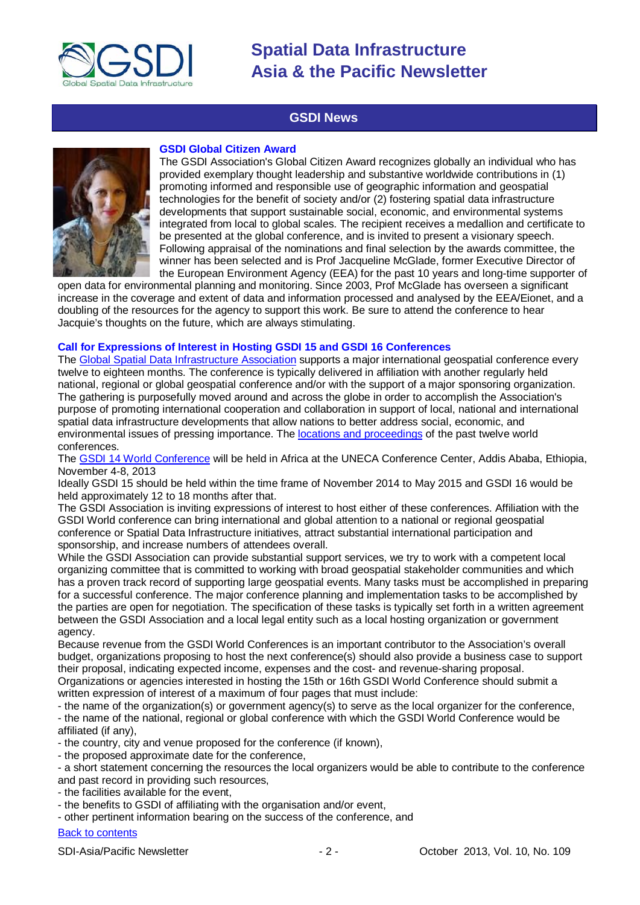

## **GSDI News**

<span id="page-1-0"></span>

#### **GSDI Global Citizen Award**

The GSDI Association's Global Citizen Award recognizes globally an individual who has provided exemplary thought leadership and substantive worldwide contributions in (1) promoting informed and responsible use of geographic information and geospatial technologies for the benefit of society and/or (2) fostering spatial data infrastructure developments that support sustainable social, economic, and environmental systems integrated from local to global scales. The recipient receives a medallion and certificate to be presented at the global conference, and is invited to present a visionary speech. Following appraisal of the nominations and final selection by the awards committee, the winner has been selected and is Prof Jacqueline McGlade, former Executive Director of the European Environment Agency (EEA) for the past 10 years and long-time supporter of

open data for environmental planning and monitoring. Since 2003, Prof McGlade has overseen a significant increase in the coverage and extent of data and information processed and analysed by the EEA/Eionet, and a doubling of the resources for the agency to support this work. Be sure to attend the conference to hear Jacquie's thoughts on the future, which are always stimulating.

#### **Call for Expressions of Interest in Hosting GSDI 15 and GSDI 16 Conferences**

The [Global Spatial Data Infrastructure Association](http://gsdi.org/) supports a major international geospatial conference every twelve to eighteen months. The conference is typically delivered in affiliation with another regularly held national, regional or global geospatial conference and/or with the support of a major sponsoring organization. The gathering is purposefully moved around and across the globe in order to accomplish the Association's purpose of promoting international cooperation and collaboration in support of local, national and international spatial data infrastructure developments that allow nations to better address social, economic, and environmental issues of pressing importance. The [locations and proceedings](http://www.gsdi.org/gsdiConferences) of the past twelve world conferences.

The [GSDI 14 World Conference](http://www.gsdi.org/gsdiconf/gsdi14/) will be held in Africa at the UNECA Conference Center, Addis Ababa, Ethiopia, November 4-8, 2013

Ideally GSDI 15 should be held within the time frame of November 2014 to May 2015 and GSDI 16 would be held approximately 12 to 18 months after that.

The GSDI Association is inviting expressions of interest to host either of these conferences. Affiliation with the GSDI World conference can bring international and global attention to a national or regional geospatial conference or Spatial Data Infrastructure initiatives, attract substantial international participation and sponsorship, and increase numbers of attendees overall.

While the GSDI Association can provide substantial support services, we try to work with a competent local organizing committee that is committed to working with broad geospatial stakeholder communities and which has a proven track record of supporting large geospatial events. Many tasks must be accomplished in preparing for a successful conference. The major conference planning and implementation tasks to be accomplished by the parties are open for negotiation. The specification of these tasks is typically set forth in a written agreement between the GSDI Association and a local legal entity such as a local hosting organization or government agency.

Because revenue from the GSDI World Conferences is an important contributor to the Association's overall budget, organizations proposing to host the next conference(s) should also provide a business case to support their proposal, indicating expected income, expenses and the cost- and revenue-sharing proposal. Organizations or agencies interested in hosting the 15th or 16th GSDI World Conference should submit a written expression of interest of a maximum of four pages that must include:

- the name of the organization(s) or government agency(s) to serve as the local organizer for the conference, - the name of the national, regional or global conference with which the GSDI World Conference would be affiliated (if any),

- the country, city and venue proposed for the conference (if known),

- the proposed approximate date for the conference,

- a short statement concerning the resources the local organizers would be able to contribute to the conference and past record in providing such resources,

- the facilities available for the event,
- the benefits to GSDI of affiliating with the organisation and/or event,
- other pertinent information bearing on the success of the conference, and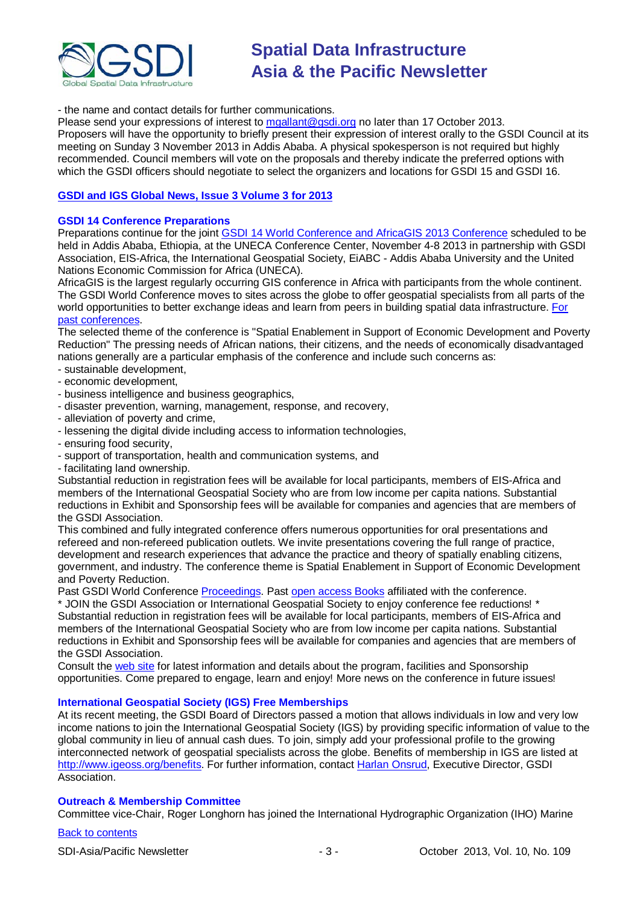

- the name and contact details for further communications.

Please send your expressions of interest to [mgallant@gsdi.org](mailto:mgallant@gsdi.org) no later than 17 October 2013. Proposers will have the opportunity to briefly present their expression of interest orally to the GSDI Council at its meeting on Sunday 3 November 2013 in Addis Ababa. A physical spokesperson is not required but highly recommended. Council members will vote on the proposals and thereby indicate the preferred options with which the GSDI officers should negotiate to select the organizers and locations for GSDI 15 and GSDI 16.

### **[GSDI and IGS Global News, Issue 3 Volume 3 for 2013](http://www.gsdi.org/newsletters#GSDI)**

### **GSDI 14 Conference Preparations**

Preparations continue for the joint [GSDI 14 World Conference and AfricaGIS 2013 Conference](http://www.gsdi.org/gsdi14) scheduled to be held in Addis Ababa, Ethiopia, at the UNECA Conference Center, November 4-8 2013 in partnership with GSDI Association, EIS-Africa, the International Geospatial Society, EiABC - Addis Ababa University and the United Nations Economic Commission for Africa (UNECA).

AfricaGIS is the largest regularly occurring GIS conference in Africa with participants from the whole continent. The GSDI World Conference moves to sites across the globe to offer geospatial specialists from all parts of the world opportunities to better exchange ideas and learn from peers in building spatial data infrastructure. [For](http://www.gsdi.org/gsdiConferences)  [past conferences.](http://www.gsdi.org/gsdiConferences)

The selected theme of the conference is "Spatial Enablement in Support of Economic Development and Poverty Reduction" The pressing needs of African nations, their citizens, and the needs of economically disadvantaged nations generally are a particular emphasis of the conference and include such concerns as:

- sustainable development,
- economic development,
- business intelligence and business geographics,
- disaster prevention, warning, management, response, and recovery,
- alleviation of poverty and crime,
- lessening the digital divide including access to information technologies,
- ensuring food security,
- support of transportation, health and communication systems, and
- facilitating land ownership.

Substantial reduction in registration fees will be available for local participants, members of EIS-Africa and members of the International Geospatial Society who are from low income per capita nations. Substantial reductions in Exhibit and Sponsorship fees will be available for companies and agencies that are members of the GSDI Association.

This combined and fully integrated conference offers numerous opportunities for oral presentations and refereed and non-refereed publication outlets. We invite presentations covering the full range of practice, development and research experiences that advance the practice and theory of spatially enabling citizens, government, and industry. The conference theme is Spatial Enablement in Support of Economic Development and Poverty Reduction.

Past GSDI World Conference [Proceedings.](http://www.gsdi.org/gsdiConferences) Past [open access Books](http://www.gsdi.org/openaccessbooks) affiliated with the conference.

\* JOIN the GSDI Association or International Geospatial Society to enjoy conference fee reductions! \* Substantial reduction in registration fees will be available for local participants, members of EIS-Africa and members of the International Geospatial Society who are from low income per capita nations. Substantial reductions in Exhibit and Sponsorship fees will be available for companies and agencies that are members of the GSDI Association.

Consult the [web site](http://gsdi.org/gsdi14/) for latest information and details about the program, facilities and Sponsorship opportunities. Come prepared to engage, learn and enjoy! More news on the conference in future issues!

### **International Geospatial Society (IGS) Free Memberships**

At its recent meeting, the GSDI Board of Directors passed a motion that allows individuals in low and very low income nations to join the International Geospatial Society (IGS) by providing specific information of value to the global community in lieu of annual cash dues. To join, simply add your professional profile to the growing interconnected network of geospatial specialists across the globe. Benefits of membership in IGS are listed at [http://www.igeoss.org/benefits.](https://owa.unimelb.edu.au/owa/redir.aspx?C=54c2b4d3973d480282dc7c38384f4204&URL=http%3a%2f%2fwww.igeoss.org%2fbenefits) For further information, contact [Harlan Onsrud,](mailto:onsrud@gsdi.org) Executive Director, GSDI Association.

### **Outreach & Membership Committee**

Committee vice-Chair, Roger Longhorn has joined the International Hydrographic Organization (IHO) Marine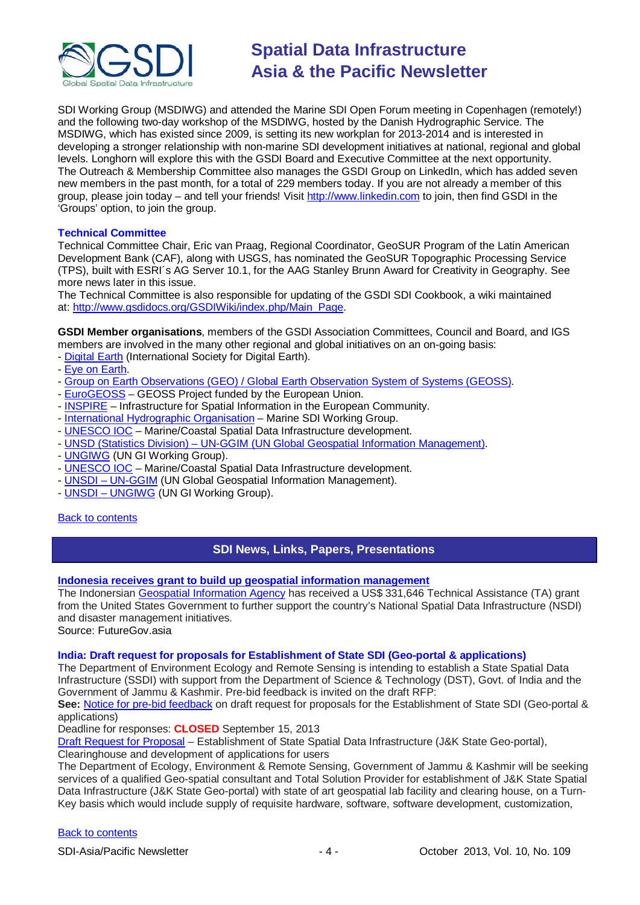

SDI Working Group (MSDIWG) and attended the Marine SDI Open Forum meeting in Copenhagen (remotely!) and the following two-day workshop of the MSDIWG, hosted by the Danish Hydrographic Service. The MSDIWG, which has existed since 2009, is setting its new workplan for 2013-2014 and is interested in developing a stronger relationship with non-marine SDI development initiatives at national, regional and global levels. Longhorn will explore this with the GSDI Board and Executive Committee at the next opportunity. The Outreach & Membership Committee also manages the GSDI Group on LinkedIn, which has added seven new members in the past month, for a total of 229 members today. If you are not already a member of this group, please join today – and tell your friends! Visit [http://www.linkedin.com](https://owa.unimelb.edu.au/owa/redir.aspx?C=rDg2dzQe3UKfwin28aspI4dcf2EJ4c8IKc_jDEPg91nlCdVQBzUX28or6ioXGu07OXWheK19Jyk.&URL=http%3a%2f%2fwww.linkedin.com) to join, then find GSDI in the 'Groups' option, to join the group.

#### **Technical Committee**

Technical Committee Chair, Eric van Praag, Regional Coordinator, GeoSUR Program of the Latin American Development Bank (CAF), along with USGS, has nominated the GeoSUR Topographic Processing Service (TPS), built with ESRI´s AG Server 10.1, for the AAG Stanley Brunn Award for Creativity in Geography. See more news later in this issue.

The Technical Committee is also responsible for updating of the GSDI SDI Cookbook, a wiki maintained at: [http://www.gsdidocs.org/GSDIWiki/index.php/Main\\_Page.](https://owa.unimelb.edu.au/owa/redir.aspx?C=rDg2dzQe3UKfwin28aspI4dcf2EJ4c8IKc_jDEPg91nlCdVQBzUX28or6ioXGu07OXWheK19Jyk.&URL=http%3a%2f%2fwww.gsdidocs.org%2fGSDIWiki%2findex.php%2fMain_Page)

**GSDI Member organisations**, members of the GSDI Association Committees, Council and Board, and IGS members are involved in the many other regional and global initiatives on an on-going basis:

- [Digital Earth](http://www.digitalearth-isde.org/) (International Society for Digital Earth).
- [Eye on Earth.](http://www.eyeonearth.org/)
- [Group on Earth Observations \(GEO\) / Global Earth Observation System of Systems \(GEOSS\).](http://www.earthobservations.org/)
- [EuroGEOSS](http://www.eurogeoss.eu/default.aspx) GEOSS Project funded by the European Union.
- [INSPIRE](http://www.inspire.jrc.ec.europa.eu/) Infrastructure for Spatial Information in the European Community.
- [International Hydrographic Organisation](http://www.iho.int/) Marine SDI Working Group.
- [UNESCO IOC](http://www.iode.org/) Marine/Coastal Spatial Data Infrastructure development.
- UNSD (Statistics Division) [UN-GGIM \(UN Global Geospatial Information Management\).](http://www.ggim.un.org/)
- **[UNGIWG](http://www.ungiwg.org/)** (UN GI Working Group).
- [UNESCO IOC](http://www.iode.org/) Marine/Coastal Spatial Data Infrastructure development.
- UNSDI [UN-GGIM](http://www.ggim.un.org/) (UN Global Geospatial Information Management).
- **UNSDI [UNGIWG](http://www.ungiwg.org/)** (UN GI Working Group).

#### <span id="page-3-0"></span>[Back to contents](#page-0-0)

### **SDI News, Links, Papers, Presentations**

#### **[Indonesia receives grant to build up geospatial information management](http://www.futuregov.asia/articles/2013/sep/02/indonesia-receives-grant-build-geospatial-informat/)**

The Indonersian Geospatial [Information](http://www.bakosurtanal.go.id/) Agency has received a US\$ 331,646 Technical Assistance (TA) grant from the United States Government to further support the country's National Spatial Data Infrastructure (NSDI) and disaster management initiatives.

Source: FutureGov.asia

#### **India: Draft request for proposals for Establishment of State SDI (Geo-portal & applications)**

The Department of Environment Ecology and Remote Sensing is intending to establish a State Spatial Data Infrastructure (SSDI) with support from the Department of Science & Technology (DST), Govt. of India and the Government of Jammu & Kashmir. Pre-bid feedback is invited on the draft RFP:

**See:** [Notice for pre-bid feedback](http://www.jkdears.com/eers/eers/orders/Notice%20Pre-bid.jpg) on draft request for proposals for the Establishment of State SDI (Geo-portal & applications)

Deadline for responses: **CLOSED** September 15, 2013

[Draft Request for Proposal](http://www.jkdears.com/eers/eers/orders/RFP-SSDI-JK.pdf) – Establishment of State Spatial Data Infrastructure (J&K State Geo-portal),

Clearinghouse and development of applications for users

The Department of Ecology, Environment & Remote Sensing, Government of Jammu & Kashmir will be seeking services of a qualified Geo-spatial consultant and Total Solution Provider for establishment of J&K State Spatial Data Infrastructure (J&K State Geo-portal) with state of art geospatial lab facility and clearing house, on a Turn-Key basis which would include supply of requisite hardware, software, software development, customization,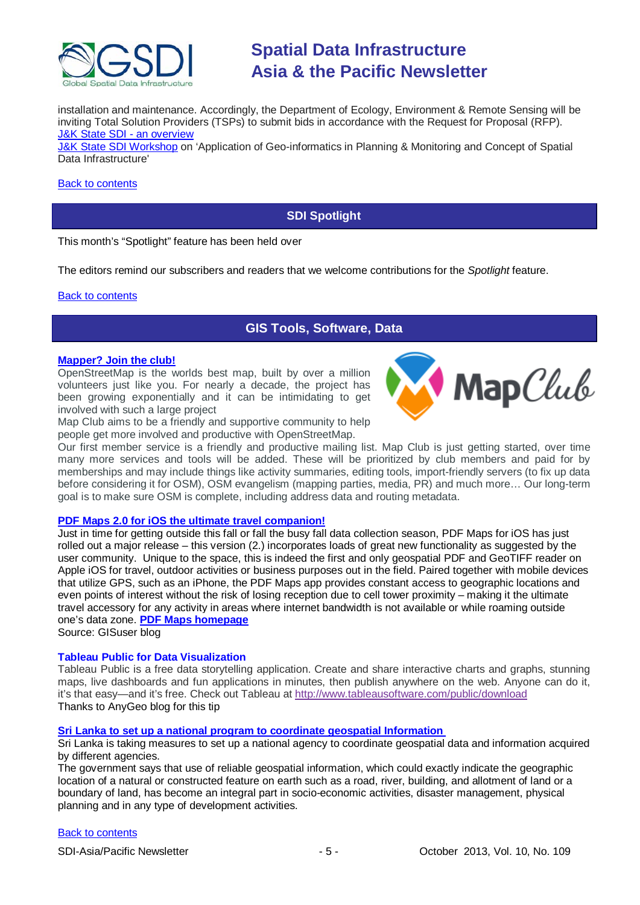

installation and maintenance. Accordingly, the Department of Ecology, Environment & Remote Sensing will be inviting Total Solution Providers (TSPs) to submit bids in accordance with the Request for Proposal (RFP). [J&K State SDI -](http://www.jkdears.com/eers/eers/orders/Note%20on%20JK-SSDI.pdf) an overview

[J&K State SDI Workshop](http://www.greaterkashmir.com/news/2013/Jun/13/workshop-on-geo-informatics-held-44.asp) on 'Application of Geo-informatics in Planning & Monitoring and Concept of Spatial Data Infrastructure'

#### <span id="page-4-0"></span>[Back to contents](#page-0-0)

### **SDI Spotlight**

This month's "Spotlight" feature has been held over

The editors remind our subscribers and readers that we welcome contributions for the *Spotlight* feature.

#### <span id="page-4-1"></span>[Back to contents](#page-0-0)

# **GIS Tools, Software, Data**

#### **[Mapper? Join the club!](http://mapclub.com/map-club/)**

OpenStreetMap is the worlds best map, built by over a million volunteers just like you. For nearly a decade, the project has been growing exponentially and it can be intimidating to get involved with such a large project

Map Club aims to be a friendly and supportive community to help people get more involved and productive with OpenStreetMap.



Our first member service is a friendly and productive mailing list. Map Club is just getting started, over time many more services and tools will be added. These will be prioritized by club members and paid for by memberships and may include things like activity summaries, editing tools, import-friendly servers (to fix up data before considering it for OSM), OSM evangelism (mapping parties, media, PR) and much more… Our long-term goal is to make sure OSM is complete, including address data and routing metadata.

#### **[PDF Maps 2.0 for iOS the ultimate travel companion!](http://blog.gisuser.com/2013/09/10/pdf-maps-2-0-for-ios-the-ultimate-travel-companion/)**

Just in time for getting outside this fall or fall the busy fall data collection season, PDF Maps for iOS has just rolled out a major release – this version (2.) incorporates loads of great new functionality as suggested by the user community. Unique to the space, this is indeed the first and only geospatial PDF and GeoTIFF reader on Apple iOS for travel, outdoor activities or business purposes out in the field. Paired together with mobile devices that utilize GPS, such as an iPhone, the PDF Maps app provides constant access to geographic locations and even points of interest without the risk of losing reception due to cell tower proximity – making it the ultimate travel accessory for any activity in areas where internet bandwidth is not available or while roaming outside one's data zone. **[PDF Maps homepage](http://www.pdf-maps.com/)**

Source: GISuser blog

#### **Tableau Public for Data Visualization**

Tableau Public is a free data storytelling application. Create and share interactive charts and graphs, stunning maps, live dashboards and fun applications in minutes, then publish anywhere on the web. Anyone can do it, it's that easy—and it's free. Check out Tableau at <http://www.tableausoftware.com/public/download> Thanks to AnyGeo blog for this tip

#### **[Sri Lanka to set up a national program to coordinate geospatial Information](http://www.colombopage.com/archive_13B/Aug31_1377967887CH.php)**

Sri Lanka is taking measures to set up a national agency to coordinate geospatial data and information acquired by different agencies.

The government says that use of reliable geospatial information, which could exactly indicate the geographic location of a natural or constructed feature on earth such as a road, river, building, and allotment of land or a boundary of land, has become an integral part in socio-economic activities, disaster management, physical planning and in any type of development activities.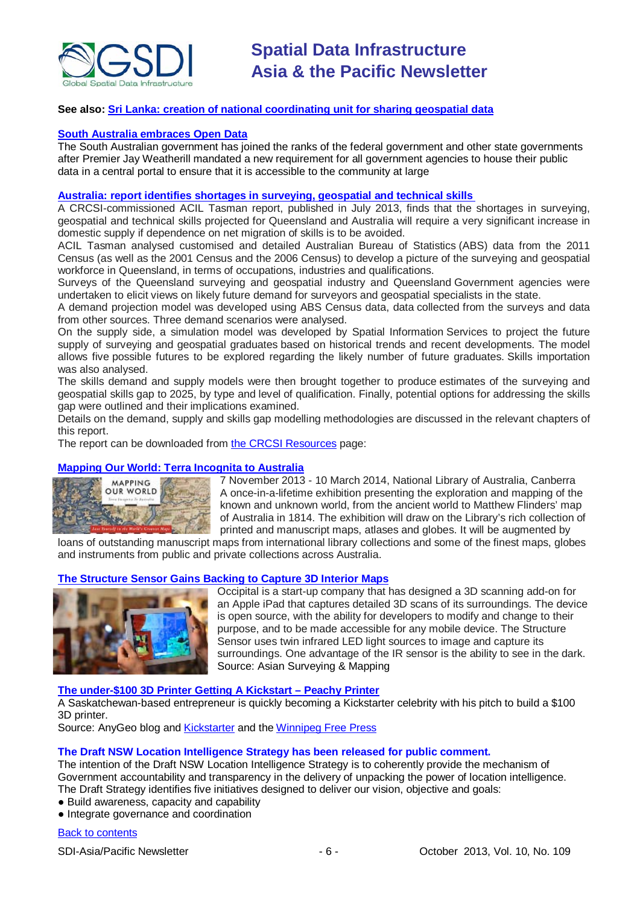

### **See also: [Sri Lanka: creation of national coordinating unit for sharing geospatial data](http://www.futuregov.asia/articles/2013/sep/02/sri-lanka-set-coordinating-unit-sharing-geospatial/)**

#### **[South Australia embraces Open Data](http://www.governmentnews.com.au/2013/09/06/article/South-Australia-embraces-Open-Data/RLIIGHWKDS.html)**

The South Australian government has joined the ranks of the federal government and other state governments after Premier Jay Weatherill mandated a new requirement for all government agencies to house their public data in a central portal to ensure that it is accessible to the community at large

#### **[Australia: report identifies shortages in surveying, geospatial and technical skills](http://www.crcsi.com.au/News/Skills-Shortages-Report)**

A CRCSI-commissioned ACIL Tasman report, published in July 2013, finds that the shortages in surveying, geospatial and technical skills projected for Queensland and Australia will require a very significant increase in domestic supply if dependence on net migration of skills is to be avoided.

ACIL Tasman analysed customised and detailed Australian Bureau of Statistics (ABS) data from the 2011 Census (as well as the 2001 Census and the 2006 Census) to develop a picture of the surveying and geospatial workforce in Queensland, in terms of occupations, industries and qualifications.

Surveys of the Queensland surveying and geospatial industry and Queensland Government agencies were undertaken to elicit views on likely future demand for surveyors and geospatial specialists in the state.

A demand projection model was developed using ABS Census data, data collected from the surveys and data from other sources. Three demand scenarios were analysed.

On the supply side, a simulation model was developed by Spatial Information Services to project the future supply of surveying and geospatial graduates based on historical trends and recent developments. The model allows five possible futures to be explored regarding the likely number of future graduates. Skills importation was also analysed.

The skills demand and supply models were then brought together to produce estimates of the surveying and geospatial skills gap to 2025, by type and level of qualification. Finally, potential options for addressing the skills gap were outlined and their implications examined.

Details on the demand, supply and skills gap modelling methodologies are discussed in the relevant chapters of this report.

The report can be downloaded from [the CRCSI Resources](http://www.crcsi.com.au/getattachment/5680d69c-dcd2-4c87-a821-051161e2d501/Queensland-surveying-and-geospatial-skills-gap-fin.aspx) page:

#### **[Mapping Our World: Terra Incognita to Australia](http://www.nla.gov.au/exhibitions/mapping-our-world)**



7 November 2013 - 10 March 2014, National Library of Australia, Canberra A once-in-a-lifetime exhibition presenting the exploration and mapping of the known and unknown world, from the ancient world to Matthew Flinders' map of Australia in 1814. The exhibition will draw on the Library's rich collection of printed and manuscript maps, atlases and globes. It will be augmented by

loans of outstanding manuscript maps from international library collections and some of the finest maps, globes and instruments from public and private collections across Australia.

#### **[The Structure Sensor Gains Backing to Capture 3D Interior Maps](http://www.asmmag.com/2012-12-30-14-40-18/feature/5750-the-structure-sensor-gains-backing-to-capture-3d-interior-maps.html)**



Occipital is a start-up company that has designed a 3D scanning add-on for an Apple iPad that captures detailed 3D scans of its surroundings. The device is open source, with the ability for developers to modify and change to their purpose, and to be made accessible for any mobile device. The Structure Sensor uses twin infrared LED light sources to image and capture its surroundings. One advantage of the IR sensor is the ability to see in the dark. Source: Asian Surveying & Mapping

#### **[The under-\\$100 3D Printer Getting A Kickstart –](http://blog.gisuser.com/2013/09/24/the-sub-100-3d-printer-getting-a-kickstart-peachy-printer/) Peachy Printer**

A Saskatchewan-based entrepreneur is quickly becoming a Kickstarter celebrity with his pitch to build a \$100 3D printer.

Source: AnyGeo blog and [Kickstarter](http://www.kickstarter.com/projects/117421627/the-peachy-printer-the-first-100-3d-printer-and-sc) and the [Winnipeg Free Press](http://www.winnipegfreepress.com/breakingnews/saskatchewan-mans-3d-printer-kickstarter-campaign-racks-up-365k-already-225082922.html)

#### **The Draft NSW Location Intelligence Strategy has been released for public comment.**

The intention of the Draft NSW Location Intelligence Strategy is to coherently provide the mechanism of Government accountability and transparency in the delivery of unpacking the power of location intelligence. The Draft Strategy identifies five initiatives designed to deliver our vision, objective and goals:

- Build awareness, capacity and capability
- Integrate governance and coordination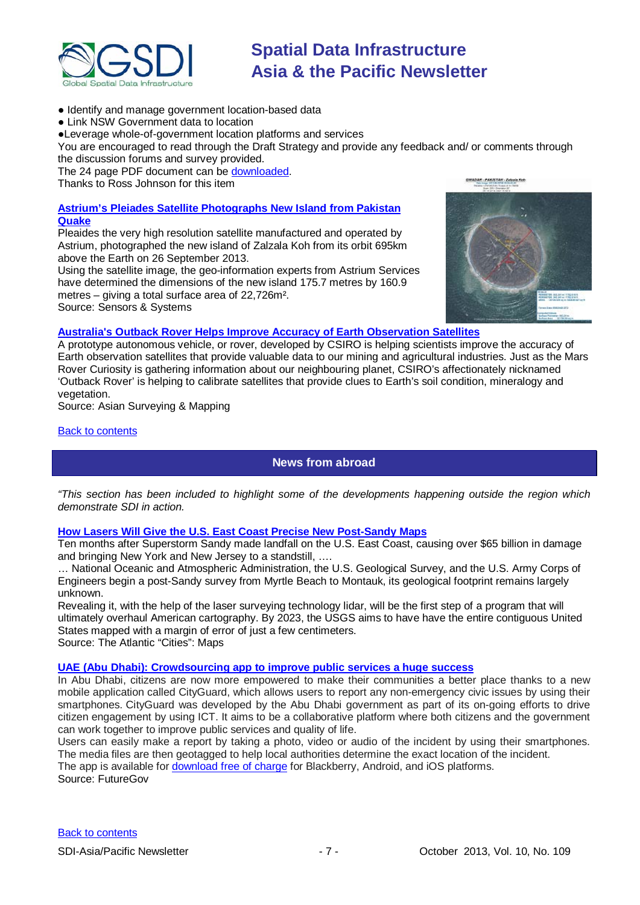

- Identify and manage government location-based data
- Link NSW Government data to location

●Leverage whole-of-government location platforms and services

You are encouraged to read through the Draft Strategy and provide any feedback and/ or comments through the discussion forums and survey provided.

The 24 page PDF document can be [downloaded.](http://engage.haveyoursay.nsw.gov.au/nsw-location-intelligence-strategy)

Thanks to Ross Johnson for this item

### **[Astrium's Pleiades Satellite Photographs New Island from Pakistan](http://www.sensorsandsystems.com/news/top-stories/corporate-news/31710-astrium%E2%80%99s-pleiades-satellite-photographs-new-island-from-pakistan-quake.html)  [Quake](http://www.sensorsandsystems.com/news/top-stories/corporate-news/31710-astrium%E2%80%99s-pleiades-satellite-photographs-new-island-from-pakistan-quake.html)**

Pleaides the very high resolution satellite manufactured and operated by Astrium, photographed the new island of Zalzala Koh from its orbit 695km above the Earth on 26 September 2013.

Using the satellite image, the geo-information experts from Astrium Services have determined the dimensions of the new island 175.7 metres by 160.9 metres – giving a total surface area of 22,726m².

Source: Sensors & Systems



### **[Australia's Outback Rover Helps Improve Accuracy of Earth Observation Satellites](http://www.asmmag.com/2012-12-30-14-40-18/feature/5786-australia-s-outback-rover-helps-improve-accuracy-of-earth-observation-satellites.html)**

A prototype autonomous vehicle, or rover, developed by CSIRO is helping scientists improve the accuracy of Earth observation satellites that provide valuable data to our mining and agricultural industries. Just as the Mars Rover Curiosity is gathering information about our neighbouring planet, CSIRO's affectionately nicknamed 'Outback Rover' is helping to calibrate satellites that provide clues to Earth's soil condition, mineralogy and vegetation.

Source: Asian Surveying & Mapping

### <span id="page-6-0"></span>[Back to contents](#page-0-0)

# **News from abroad**

*"This section has been included to highlight some of the developments happening outside the region which demonstrate SDI in action.*

### **[How Lasers Will Give the U.S. East Coast Precise New Post-Sandy Maps](http://www.theatlanticcities.com/technology/2013/09/lasers-will-give-us-east-coast-precise-new-post-sandy-maps/6745/)**

Ten months after Superstorm Sandy made landfall on the U.S. East Coast, causing over \$65 billion in damage and bringing New York and New Jersey to a standstill, ….

… National Oceanic and Atmospheric Administration, the U.S. Geological Survey, and the U.S. Army Corps of Engineers begin a post-Sandy survey from Myrtle Beach to Montauk, its geological footprint remains largely unknown.

Revealing it, with the help of the laser surveying technology lidar, will be the first step of a program that will ultimately overhaul American cartography. By 2023, the USGS aims to have have the entire contiguous United States mapped with a margin of error of just a few centimeters. Source: The Atlantic "Cities": Maps

### **[UAE \(Abu Dhabi\): Crowdsourcing app to improve public services a huge success](http://www.futuregov.asia/articles/2013/sep/12/crowdsourcing-app-huge-success-abu-dhabi/)**

In Abu Dhabi, citizens are now more empowered to make their communities a better place thanks to a new mobile application called CityGuard, which allows users to report any non-emergency civic issues by using their smartphones. CityGuard was developed by the Abu Dhabi government as part of its on-going efforts to drive citizen engagement by using ICT. It aims to be a collaborative platform where both citizens and the government can work together to improve public services and quality of life.

Users can easily make a report by taking a photo, video or audio of the incident by using their smartphones. The media files are then geotagged to help local authorities determine the exact location of the incident.

The app is available for [download free of charge](https://www.abudhabi.ae/egovPoolPortal_WAR/appmanager/ADeGP/Citizen?_nfpb=true&_pageLabel=P3200366981351072373544&lang=en) for Blackberry, Android, and iOS platforms.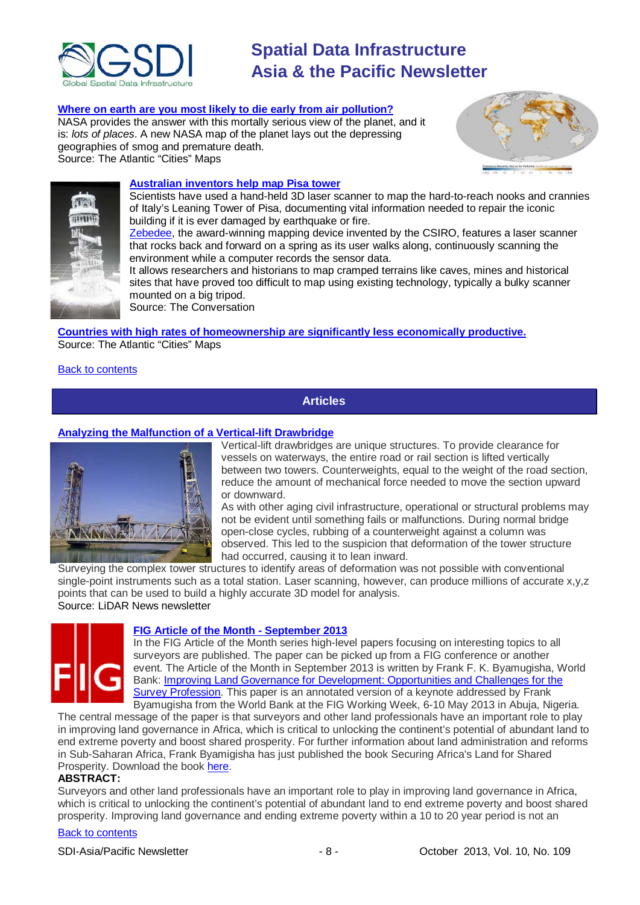

#### **[Where on earth are you most likely to die early from](http://www.theatlanticcities.com/technology/2013/09/heres-where-youre-most-likely-die-air-pollution/6946/) air pollution?**

NASA provides the answer with this mortally serious view of the planet, and it is: *lots of places*. A new NASA map of the planet lays out the depressing geographies of smog and premature death. Source: The Atlantic "Cities" Maps





#### **[Australian inventors help map Pisa](http://theconversation.com/lean-on-me-australian-inventors-help-map-pisa-tower-18229?utm_medium=email&utm_campaign=Latest%20from%20The%20Conversation%20for%2018%20September%202013&utm_content=Latest%20from%20The%20Conversation%20for%2018%20September%202013) tower**

Scientists have used a hand-held 3D laser scanner to map the hard-to-reach nooks and crannies of Italy's Leaning Tower of Pisa, documenting vital information needed to repair the iconic building if it is ever damaged by earthquake or fire.

[Zebedee,](http://www.csiro.au/en/Organisation-Structure/Divisions/ICT-Centre/Zebedee-3D-mapping.aspx) the award-winning mapping device invented by the CSIRO, features a laser scanner that rocks back and forward on a spring as its user walks along, continuously scanning the environment while a computer records the sensor data.

It allows researchers and historians to map cramped terrains like caves, mines and historical sites that have proved too difficult to map using existing technology, typically a bulky scanner mounted on a big tripod.

Source: The Conversation

#### **[Countries with high rates of homeownership are significantly less economically productive.](http://www.theatlanticcities.com/housing/2013/09/why-us-needs-fall-out-love-homeownership/6517/)**

Source: The Atlantic "Cities" Maps

#### <span id="page-7-0"></span>**[Back to contents](#page-0-0)**

### **Articles**

#### **[Analyzing the Malfunction of a Vertical-lift Drawbridge](http://www.lidarnews.com/content/view/9952/2/)**



Vertical-lift drawbridges are unique structures. To provide clearance for vessels on waterways, the entire road or rail section is lifted vertically between two towers. Counterweights, equal to the weight of the road section, reduce the amount of mechanical force needed to move the section upward or downward.

As with other aging civil infrastructure, operational or structural problems may not be evident until something fails or malfunctions. During normal bridge open-close cycles, rubbing of a counterweight against a column was observed. This led to the suspicion that deformation of the tower structure had occurred, causing it to lean inward.

Surveying the complex tower structures to identify areas of deformation was not possible with conventional single-point instruments such as a total station. Laser scanning, however, can produce millions of accurate x,y,z points that can be used to build a highly accurate 3D model for analysis. Source: LiDAR News newsletter



#### **FIG [Article of the Month -](http://www.fig.net/pub/monthly_articles/september_2013/byamugisha.html) September 2013**

In the FIG [Article of the Month](http://www.fig.net/pub/monthly_articles/index.htm) series high-level papers focusing on interesting topics to all surveyors are published. The paper can be picked up from a FIG conference or another event. The Article of the Month in September 2013 is written by Frank F. K. Byamugisha, World Bank: [Improving Land Governance for Development: Opportunities and Challenges for the](http://www.fig.net/pub/monthly_articles/september_2013/byamugisha.html)  [Survey Profession.](http://www.fig.net/pub/monthly_articles/september_2013/byamugisha.html) This paper is an annotated version of a keynote addressed by Frank Byamugisha from the World Bank at the FIG Working Week, 6-10 May 2013 in Abuja, Nigeria.

The central message of the paper is that surveyors and other land professionals have an important role to play in improving land governance in Africa, which is critical to unlocking the continent's potential of abundant land to end extreme poverty and boost shared prosperity. For further information about land administration and reforms in Sub-Saharan Africa, Frank Byamigisha has just published the book Securing Africa's Land for Shared Prosperity. Download the book [here.](http://www.scribd.com/doc/144377306/Securing-Africa-s-Land-for-Shared-Prosperity)

#### **ABSTRACT:**

Surveyors and other land professionals have an important role to play in improving land governance in Africa, which is critical to unlocking the continent's potential of abundant land to end extreme poverty and boost shared prosperity. Improving land governance and ending extreme poverty within a 10 to 20 year period is not an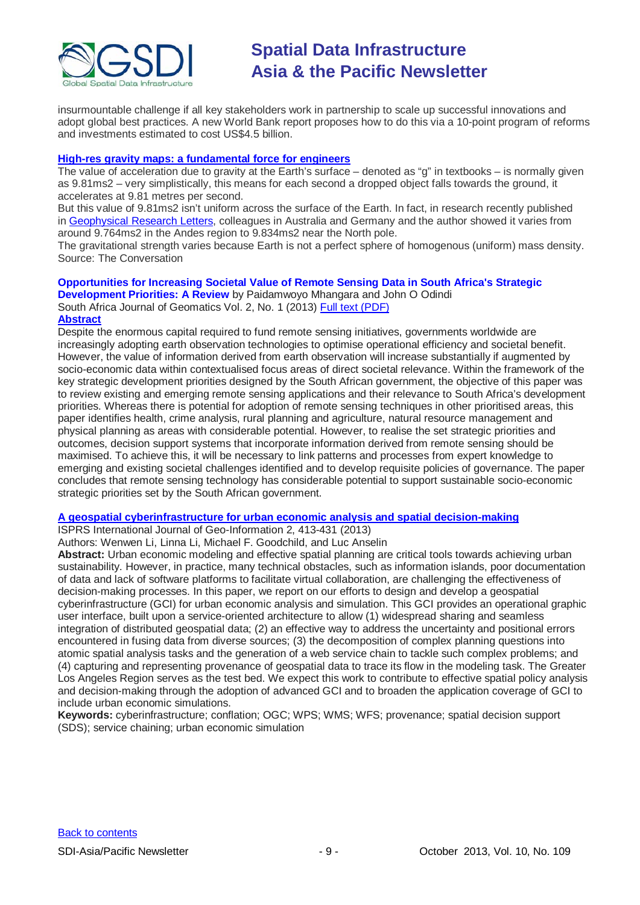

insurmountable challenge if all key stakeholders work in partnership to scale up successful innovations and adopt global best practices. A new World Bank report proposes how to do this via a 10-point program of reforms and investments estimated to cost US\$4.5 billion.

#### **High-res gravity maps: a fundamental force for engineers**

The value of acceleration due to [gravity](https://theconversation.com/explainer-gravity-5256) at the Earth's surface – denoted as ["g"](http://en.wikipedia.org/wiki/Gravitational_acceleration) in textbooks – is normally given as 9.81ms2 – very simplistically, this means for each second a dropped object falls towards the ground, it accelerates at 9.81 metres per second.

But this value of 9.81ms2 isn't uniform across the surface of the Earth. In fact, in research recently published in [Geophysical Research Letters,](http://onlinelibrary.wiley.com/doi/10.1002/grl.50838/abstract) colleagues in Australia and Germany and the author showed it varies from around 9.764ms2 in the Andes region to 9.834ms2 near the North pole.

The gravitational strength varies because Earth is not a perfect sphere of homogenous (uniform) mass density. Source: The Conversation

# **Opportunities for Increasing Societal Value of Remote Sensing Data in South Africa's Strategic**

**Development Priorities: A Review** by Paidamwoyo Mhangara and John O Odindi South Africa Journal of Geomatics Vol. 2, No. 1 (2013) [Full text \(PDF\)](http://sajg.org.za/index.php/sajg/article/view/69/30%20%20(PDF))

#### **[Abstract](http://sajg.org.za/index.php/sajg/article/view/69)**

Despite the enormous capital required to fund remote sensing initiatives, governments worldwide are increasingly adopting earth observation technologies to optimise operational efficiency and societal benefit. However, the value of information derived from earth observation will increase substantially if augmented by socio-economic data within contextualised focus areas of direct societal relevance. Within the framework of the key strategic development priorities designed by the South African government, the objective of this paper was to review existing and emerging remote sensing applications and their relevance to South Africa's development priorities. Whereas there is potential for adoption of remote sensing techniques in other prioritised areas, this paper identifies health, crime analysis, rural planning and agriculture, natural resource management and physical planning as areas with considerable potential. However, to realise the set strategic priorities and outcomes, decision support systems that incorporate information derived from remote sensing should be maximised. To achieve this, it will be necessary to link patterns and processes from expert knowledge to emerging and existing societal challenges identified and to develop requisite policies of governance. The paper concludes that remote sensing technology has considerable potential to support sustainable socio-economic strategic priorities set by the South African government.

### **[A geospatial cyberinfrastructure for urban economic analysis and spatial decision-making](http://www.mdpi.com/2220-9964/2/2/413/pdf)**

ISPRS International Journal of Geo-Information 2, 413-431 (2013)

Authors: Wenwen Li, Linna Li, Michael F. Goodchild, and Luc Anselin

**Abstract:** Urban economic modeling and effective spatial planning are critical tools towards achieving urban sustainability. However, in practice, many technical obstacles, such as information islands, poor documentation of data and lack of software platforms to facilitate virtual collaboration, are challenging the effectiveness of decision-making processes. In this paper, we report on our efforts to design and develop a geospatial cyberinfrastructure (GCI) for urban economic analysis and simulation. This GCI provides an operational graphic user interface, built upon a service-oriented architecture to allow (1) widespread sharing and seamless integration of distributed geospatial data; (2) an effective way to address the uncertainty and positional errors encountered in fusing data from diverse sources; (3) the decomposition of complex planning questions into atomic spatial analysis tasks and the generation of a web service chain to tackle such complex problems; and (4) capturing and representing provenance of geospatial data to trace its flow in the modeling task. The Greater Los Angeles Region serves as the test bed. We expect this work to contribute to effective spatial policy analysis and decision-making through the adoption of advanced GCI and to broaden the application coverage of GCI to include urban economic simulations.

**Keywords:** cyberinfrastructure; conflation; OGC; WPS; WMS; WFS; provenance; spatial decision support (SDS); service chaining; urban economic simulation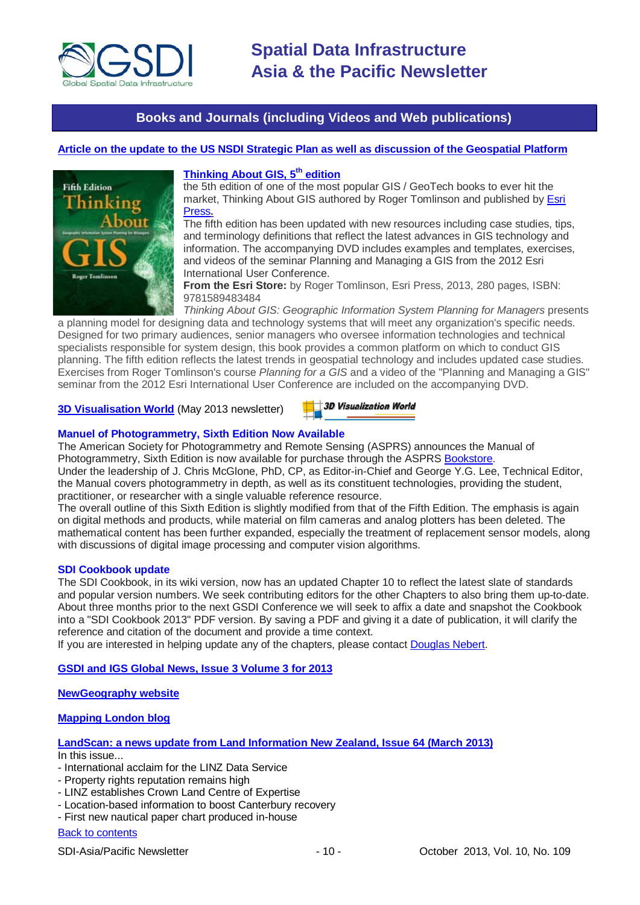

## **Books and Journals (including Videos and Web publications)**

### <span id="page-9-0"></span>**[Article on the update to the US NSDI Strategic Plan as well as discussion of the Geospatial Platform](http://digital.onthefrontlines.net/i/141677)**



### **Thinking About GIS, 5<sup>th</sup> edition**

the 5th edition of one of the most popular GIS / GeoTech books to ever hit the market, Thinking About GIS authored by Roger Tomlinson and published by [Esri](http://store.esri.com/esri/showdetl.cfm?SID=2&Product_ID=1405&Category_ID=50)  [Press](http://store.esri.com/esri/showdetl.cfm?SID=2&Product_ID=1405&Category_ID=50)**.**

The fifth edition has been updated with new resources including case studies, tips, and terminology definitions that reflect the latest advances in GIS technology and information. The accompanying DVD includes examples and templates, exercises, and videos of the seminar Planning and Managing a GIS from the 2012 Esri International User Conference.

**From the Esri Store:** by Roger Tomlinson, Esri Press, 2013, 280 pages, ISBN: 9781589483484

*Thinking About GIS: Geographic Information System Planning for Managers* presents a planning model for designing data and technology systems that will meet any organization's specific needs. Designed for two primary audiences, senior managers who oversee information technologies and technical specialists responsible for system design, this book provides a common platform on which to conduct GIS planning. The fifth edition reflects the latest trends in geospatial technology and includes updated case studies. Exercises from Roger Tomlinson's course *Planning for a GIS* and a video of the "Planning and Managing a GIS" seminar from the 2012 Esri International User Conference are included on the accompanying DVD.

#### **[3D Visualisation World](http://visitor.benchmarkemail.com/c/v?e=2E5A3F&c=27A3B&l=42E79F4&email=20i0rPjCDuEQfH2i1glrmJemkgBQcCdv&relid=509BECB)** (May 2013 newsletter)

 $\pm$ 3D Visualization World

#### **Manuel of Photogrammetry, Sixth Edition Now Available**

The American Society for Photogrammetry and Remote Sensing (ASPRS) announces the Manual of Photogrammetry, Sixth Edition is now available for purchase through the ASPRS [Bookstore.](http://www.asprs.org/Publications-Other/Bookstore.html)

Under the leadership of J. Chris McGlone, PhD, CP, as Editor-in-Chief and George Y.G. Lee, Technical Editor, the Manual covers photogrammetry in depth, as well as its constituent technologies, providing the student, practitioner, or researcher with a single valuable reference resource.

The overall outline of this Sixth Edition is slightly modified from that of the Fifth Edition. The emphasis is again on digital methods and products, while material on film cameras and analog plotters has been deleted. The mathematical content has been further expanded, especially the treatment of replacement sensor models, along with discussions of digital image processing and computer vision algorithms.

#### **SDI Cookbook update**

The SDI Cookbook, in its wiki version, now has an updated Chapter 10 to reflect the latest slate of standards and popular version numbers. We seek contributing editors for the other Chapters to also bring them up-to-date. About three months prior to the next GSDI Conference we will seek to affix a date and snapshot the Cookbook into a "SDI Cookbook 2013" PDF version. By saving a PDF and giving it a date of publication, it will clarify the reference and citation of the document and provide a time context.

If you are interested in helping update any of the chapters, please contact [Douglas Nebert.](mailto:ddnebert@usgs.gov)

**[GSDI and IGS Global News, Issue 3 Volume 3 for 2013](http://www.gsdi.org/newsletters#GSDI)**

#### **[NewGeography website](http://www.newgeography.com/)**

#### **[Mapping London blog](http://mappinglondon.co.uk/)**

**[LandScan: a news update from Land Information New Zealand, Issue 64 \(March 2013\)](http://www.linz.govt.nz/sites/default/files/docs/supporting-info/about-linz/publications/landscan-201303.pdf)** In this issue...

- International acclaim for the LINZ Data Service
- Property rights reputation remains high
- LINZ establishes Crown Land Centre of Expertise
- Location-based information to boost Canterbury recovery
- First new nautical paper chart produced in-house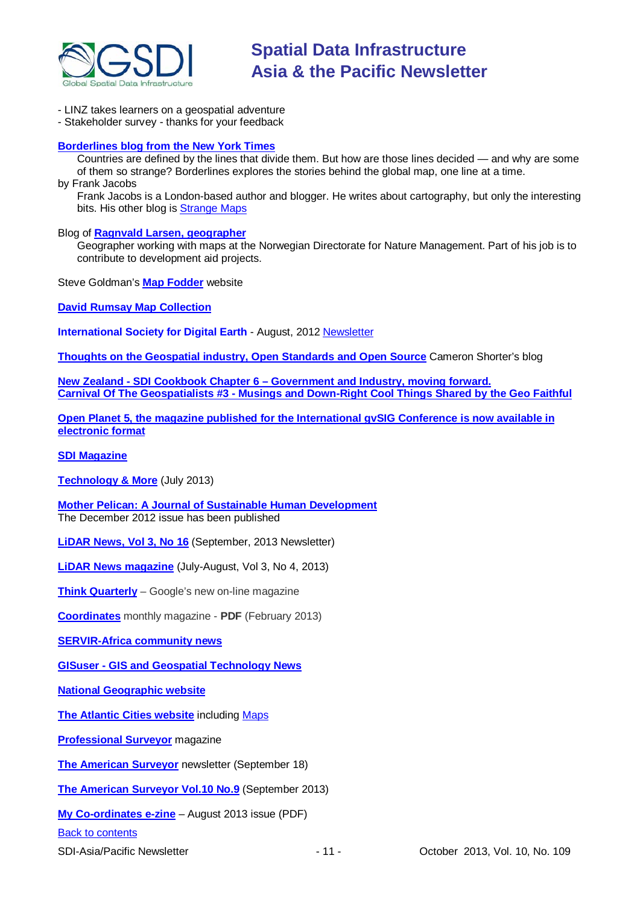

- LINZ takes learners on a geospatial adventure

- Stakeholder survey - thanks for your feedback

#### **[Borderlines blog from the New York Times](http://opinionator.blogs.nytimes.com/category/borderlines/)**

Countries are defined by the lines that divide them. But how are those lines decided — and why are some of them so strange? Borderlines explores the stories behind the global map, one line at a time. by Frank Jacobs

Frank Jacobs is a London-based author and blogger. He writes about cartography, but only the interesting bits. His other blog is [Strange Maps](http://bigthink.com/blogs/strange-maps)

#### Blog of **[Ragnvald Larsen, geographer](http://www.mindland.com/wp/)**

Geographer working with maps at the Norwegian Directorate for Nature Management. Part of his job is to contribute to development aid projects.

Steve Goldman's **[Map Fodder](http://www.mapfodder.com/index.html)** website

**David Rumsay [Map Collection](http://www.davidrumsey.com/)**

**International Society for Digital Earth** - August, 2012 [Newsletter](http://www.digitalearth-isde.org/news/isde-newsletter(201208).html)

**[Thoughts on the Geospatial industry, Open Standards and Open Source](http://cameronshorter.blogspot.com/2011/06/memoirs-of-cat-herder-coordinating.html)** Cameron Shorter's blog

**New Zealand - SDI Cookbook Chapter 6 – [Government and Industry, moving forward.](http://www.geospatial.govt.nz/sdi-cookbook-chapter-6-government-and-industry-moving-forward) Carnival Of The Geospatialists #3 - [Musings and Down-Right Cool Things Shared by the Geo Faithful](http://www.gisuser.com/content/view/25690/28/)**

**[Open Planet 5, the magazine published for the International gvSIG Conference is now available in](http://jornadas.gvsig.org/descargas/magazine)  [electronic format](http://jornadas.gvsig.org/descargas/magazine)**

#### **[SDI Magazine](http://www.sdimag.com/)**

**[Technology & More](http://www.trimble.com/technologyandmore/i2-2013/)** (July 2013)

**[Mother Pelican: A Journal of Sustainable Human Development](http://www.pelicanweb.org/solisustv08n12page1.html)** The December 2012 issue has been published

**[LiDAR News, Vol 3, No 16](http://www.lidarnews.com/newsletter/Vol3No16.htm)** (September, 2013 Newsletter)

**[LiDAR News magazine](http://lidarnews.com/emag/2013/vol3no4/index.html)** (July-August, Vol 3, No 4, 2013)

**[Think Quarterly](http://thinkquarterly.co.uk/#aboutthebook)** – Google's new on-line magazine

**[Coordinates](http://mycoordinates.org/pdf/feb13.pdf)** monthly magazine - **PDF** (February 2013)

**[SERVIR-Africa community news](http://www.servirglobal.net/africa/en/News/CommunityNews.aspx)**

**GISuser - [GIS and Geospatial Technology News](http://www.gisuser.com/)**

**[National Geographic website](http://www.nationalgeographic.com/)**

**[The Atlantic Cities website](http://www.theatlanticcities.com/)** including [Maps](http://www.theatlanticcities.com/posts/map/)

**[Professional Surveyor](http://www.profsurv.com/)** magazine

**[The American Surveyor](http://www.amerisurv.com/newsletter/18SEP2013.htm)** newsletter (September 18)

**[The American Surveyor Vol.10 No.9](http://amerisurv.com/emag/2013/vol10no9/index.html)** (September 2013)

**[My Co-ordinates e-zine](http://mycoordinates.org/pdf/aug13.pdf)** – August 2013 issue (PDF)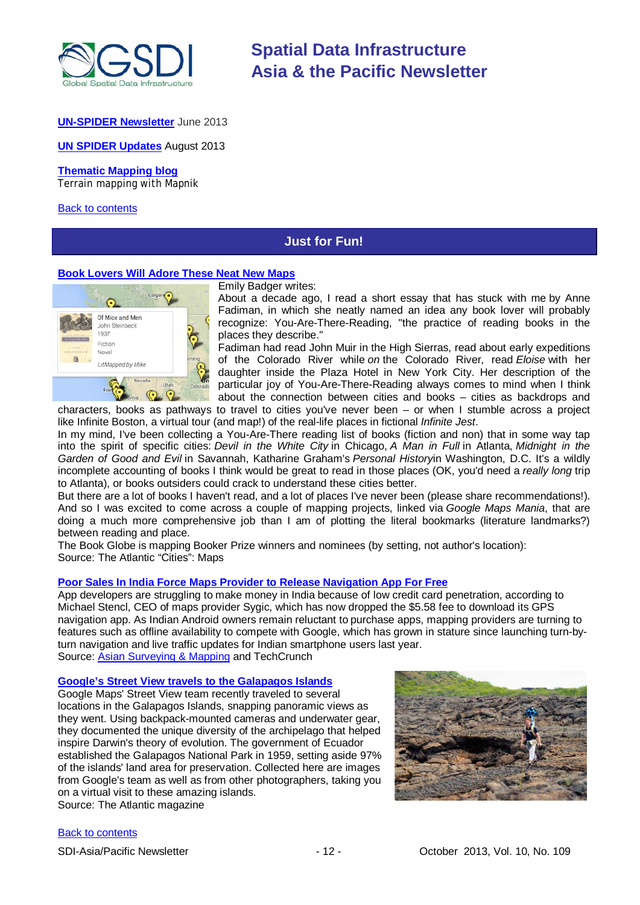

#### **[UN-SPIDER](http://www.un-spider.org/about/newsletter/un-spider-newsletter-213-earth-observation-disaster-response) Newsletter** June 2013

**[UN SPIDER Updates](http://www.un-spider.org/about/updates/un-spider-updates-may-2013)** August 2013

#### **[Thematic Mapping blog](http://blog.thematicmapping.org/)**

Terrain mapping with Mapnik

#### <span id="page-11-0"></span>[Back to contents](#page-0-0)

# **Just for Fun!**

#### **[Book Lovers Will Adore These Neat New Maps](http://www.theatlanticcities.com/arts-and-lifestyle/2013/09/book-lovers-will-adore-these-neat-new-maps/6887/)**



Emily Badger writes:

About a decade ago, I read a short essay that has stuck with me by Anne Fadiman, in which she neatly named an idea any book lover will probably recognize: You-Are-There-Reading, "the practice of reading books in the places they describe."

Fadiman had read John Muir in the High Sierras, read about early expeditions of the Colorado River while *on* the Colorado River, read *Eloise* with her daughter inside the Plaza Hotel in New York City. Her description of the particular joy of You-Are-There-Reading always comes to mind when I think about the connection between cities and books – cities as backdrops and characters, books as pathways to travel to cities you've never been – or when I stumble across a project

like Infinite Boston, a virtual tour (and map!) of the real-life places in fictional *Infinite Jest*.

In my mind, I've been collecting a You-Are-There reading list of books (fiction and non) that in some way tap into the spirit of specific cities: *Devil in the White City* in Chicago, *A Man in Full* in Atlanta, *Midnight in the Garden of Good and Evil* in Savannah, Katharine Graham's *Personal History*in Washington, D.C. It's a wildly incomplete accounting of books I think would be great to read in those places (OK, you'd need a *really long* trip to Atlanta), or books outsiders could crack to understand these cities better.

But there are a lot of books I haven't read, and a lot of places I've never been (please share recommendations!). And so I was excited to come across a couple of mapping projects, linked via *Google Maps Mania*, that are doing a much more comprehensive job than I am of plotting the literal bookmarks (literature landmarks?) between reading and place.

The Book Globe is mapping Booker Prize winners and nominees (by setting, not author's location): Source: The Atlantic "Cities": Maps

#### **[Poor Sales In India Force Maps Provider to Release Navigation App For](http://techcrunch.com/2013/09/23/poor-indian-sales-force-sygic-to-release-navigation-app-for-free/) Free**

App developers are struggling to make money in India because of low credit card penetration, according to Michael Stencl, CEO of maps provider Sygic, which has now dropped the \$5.58 fee to download its GPS navigation app. As Indian Android owners remain reluctant to purchase apps, mapping providers are turning to features such as offline availability to compete with Google, which has grown in stature since launching turn-byturn navigation and live traffic updates for Indian smartphone users last year. Source: [Asian Surveying & Mapping](http://www.asmmag.com/2012-12-30-14-17-42/headlines/5783-poor-sales-in-india-force-maps-provider-sygic-to-release-navigation-app-for-free.html) and TechCrunch

#### **[Google's Street View travels to the Galapagos Islands](http://www.theatlantic.com/infocus/2013/09/a-trip-to-the-galapagos-islands/100597/)**

Google Maps' Street View team recently traveled to several locations in the Galapagos Islands, snapping panoramic views as they went. Using backpack-mounted cameras and underwater gear, they documented the unique diversity of the archipelago that helped inspire Darwin's theory of evolution. The government of Ecuador established the Galapagos National Park in 1959, setting aside 97% of the islands' land area for preservation. Collected here are images from Google's team as well as from other photographers, taking you on a virtual visit to these amazing islands. Source: The Atlantic magazine

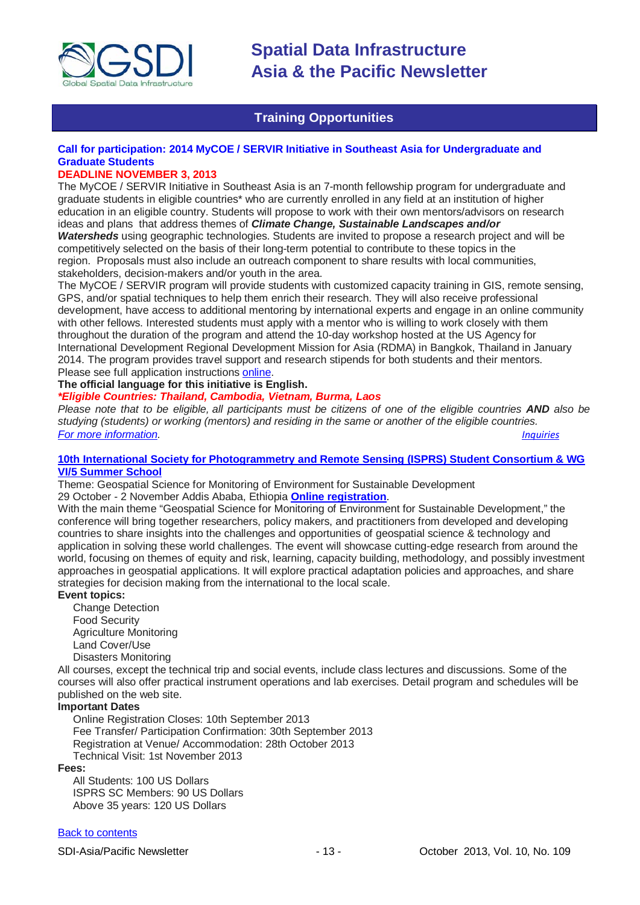

# **Training Opportunities**

### <span id="page-12-0"></span>**Call for participation: 2014 MyCOE / SERVIR Initiative in Southeast Asia for Undergraduate and Graduate Students**

### **DEADLINE NOVEMBER 3, 2013**

The MyCOE / SERVIR Initiative in Southeast Asia is an 7-month fellowship program for undergraduate and graduate students in eligible countries\* who are currently enrolled in any field at an institution of higher education in an eligible country. Students will propose to work with their own mentors/advisors on research ideas and plans that address themes of *Climate Change, Sustainable Landscapes and/or* 

*Watersheds* using geographic technologies. Students are invited to propose a research project and will be competitively selected on the basis of their long-term potential to contribute to these topics in the region. Proposals must also include an outreach component to share results with local communities, stakeholders, decision-makers and/or youth in the area.

The MyCOE / SERVIR program will provide students with customized capacity training in GIS, remote sensing, GPS, and/or spatial techniques to help them enrich their research. They will also receive professional development, have access to additional mentoring by international experts and engage in an online community with other fellows. Interested students must apply with a mentor who is willing to work closely with them throughout the duration of the program and attend the 10-day workshop hosted at the US Agency for International Development Regional Development Mission for Asia (RDMA) in Bangkok, Thailand in January 2014. The program provides travel support and research stipends for both students and their mentors. Please see full application instruction[s online.](http://www.aag.org/mycoe.servir/southeastasia)

#### **The official language for this initiative is English.**

#### *\*Eligible Countries: Thailand, Cambodia, Vietnam, Burma, Laos*

*Please note that to be eligible, all participants must be citizens of one of the eligible countries AND also be studying (students) or working (mentors) and residing in the same or another of the eligible countries. [For more information.](http://www.aag.org/mycoe.servir/southeastasia) [Inquiries](mailto:mycoe@aag.org)*

#### **[10th International Society for Photogrammetry and Remote Sensing \(ISPRS\) Student Consortium & WG](http://www.rcmrd.org/index.php/isprs)  [VI/5 Summer School](http://www.rcmrd.org/index.php/isprs)**

Theme: Geospatial Science for Monitoring of Environment for Sustainable Development 29 October - 2 November Addis Ababa, Ethiopia **[Online registration](http://www.rcmrd.org/index.php/10th-isprs-student-consortium/register-now)**.

With the main theme "Geospatial Science for Monitoring of Environment for Sustainable Development," the conference will bring together researchers, policy makers, and practitioners from developed and developing countries to share insights into the challenges and opportunities of geospatial science & technology and application in solving these world challenges. The event will showcase cutting-edge research from around the world, focusing on themes of equity and risk, learning, capacity building, methodology, and possibly investment approaches in geospatial applications. It will explore practical adaptation policies and approaches, and share strategies for decision making from the international to the local scale.

#### **Event topics:**

Change Detection Food Security Agriculture Monitoring Land Cover/Use Disasters Monitoring

All courses, except the technical trip and social events, include class lectures and discussions. Some of the courses will also offer practical instrument operations and lab exercises. Detail program and schedules will be published on the web site.

#### **Important Dates**

Online Registration Closes: 10th September 2013 Fee Transfer/ Participation Confirmation: 30th September 2013 Registration at Venue/ Accommodation: 28th October 2013 Technical Visit: 1st November 2013

#### **Fees:**

All Students: 100 US Dollars ISPRS SC Members: 90 US Dollars Above 35 years: 120 US Dollars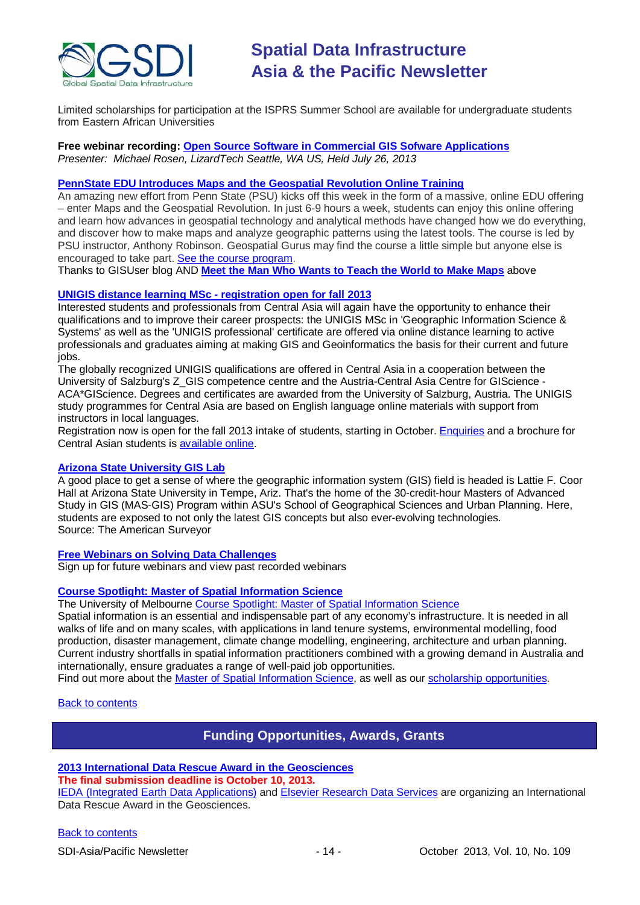

Limited scholarships for participation at the ISPRS Summer School are available for undergraduate students from Eastern African Universities

#### **Free webinar recording: [Open Source Software in Commercial GIS Sofware Applications](https://attendee.gotowebinar.com/recording/4624270281082676480)** *Presenter: Michael Rosen, LizardTech Seattle, WA US, Held July 26, 2013*

### **[PennState EDU Introduces Maps and the Geospatial](http://blog.gisuser.com/2013/07/16/pennstate-edu-introduces-maps-and-the-geospatial-revolution-online-training/) Revolution Online Training**

An amazing new effort from Penn State (PSU) kicks off this week in the form of a massive, online EDU offering – enter Maps and the Geospatial Revolution. In just 6-9 hours a week, students can enjoy this online offering and learn how advances in geospatial technology and analytical methods have changed how we do everything, and discover how to make maps and analyze geographic patterns using the latest tools. The course is led by PSU instructor, Anthony Robinson. Geospatial Gurus may find the course a little simple but anyone else is encouraged to take part. [See the course program.](https://www.coursera.org/course/maps)

Thanks to GISUser blog AND **[Meet the Man Who Wants to Teach the World to Make Maps](#page-11-0)** above

#### **[UNIGIS distance learning MSc -](http://acagisc.blogspot.com/2013/06/unigis-distance-learning-msc.html) registration open for fall 2013**

Interested students and professionals from Central Asia will again have the opportunity to enhance their qualifications and to improve their career prospects: the UNIGIS MSc in 'Geographic Information Science & Systems' as well as the 'UNIGIS professional' certificate are offered via online distance learning to active professionals and graduates aiming at making GIS and Geoinformatics the basis for their current and future jobs.

The globally recognized UNIGIS qualifications are offered in Central Asia in a cooperation between the University of Salzburg's Z GIS competence centre and the Austria-Central Asia Centre for GIScience -ACA\*GIScience. Degrees and certificates are awarded from the University of Salzburg, Austria. The UNIGIS study programmes for Central Asia are based on English language online materials with support from instructors in local languages.

Registration now is open for the fall 2013 intake of students, starting in October. [Enquiries](mailto:unigis@aca-giscience.org) and a brochure for Central Asian students is [available online.](https://docs.google.com/file/d/0B1W9laE7MF3yNjZjMzM0NGItOGU1Ni00ODRkLTgwMTEtOTRjYTUxMWU5MTdi/edit?pli=1&hl=en)

#### **[Arizona State University](http://www.amerisurv.com/content/view/11050/153/) GIS Lab**

A good place to get a sense of where the geographic information system (GIS) field is headed is Lattie F. Coor Hall at Arizona State University in Tempe, Ariz. That's the home of the 30-credit-hour Masters of Advanced Study in GIS (MAS-GIS) Program within ASU's School of Geographical Sciences and Urban Planning. Here, students are exposed to not only the latest GIS concepts but also ever-evolving technologies. Source: The American Surveyor

#### **[Free Webinars on Solving Data Challenges](http://www.safe.com/learning/webinars/)**

Sign up for future webinars and view past recorded webinars

### **[Course Spotlight: Master of Spatial Information Science](http://themelbourneengineer.eng.unimelb.edu.au/2012/02/course-spotlight-master-of-spatial-information-science/)**

The University of Melbourne [Course Spotlight: Master of Spatial Information Science](http://themelbourneengineer.eng.unimelb.edu.au/2012/02/course-spotlight-master-of-spatial-information-science/)

Spatial information is an essential and indispensable part of any economy's infrastructure. It is needed in all walks of life and on many scales, with applications in land tenure systems, environmental modelling, food production, disaster management, climate change modelling, engineering, architecture and urban planning. Current industry shortfalls in spatial information practitioners combined with a growing demand in Australia and internationally, ensure graduates a range of well-paid job opportunities.

Find out more about the [Master of Spatial Information Science,](http://www.msi.unimelb.edu.au/study/graduate/master-of-spatial-information-science/) as well as our [scholarship opportunities.](http://www.eng.unimelb.edu.au/study/graduate/scholarships.html)

#### <span id="page-13-0"></span>[Back to contents](#page-0-0)

# **Funding Opportunities, Awards, Grants**

#### **[2013 International Data Rescue Award in the Geosciences](http://researchdata.elsevier.com/datachallenge)**

**The final submission deadline is October 10, 2013.**

[IEDA \(Integrated Earth Data Applications\)](http://www.iedadata.org/) and [Elsevier Research Data Services](http://researchdata.elsevier.com/) are organizing an International Data Rescue Award in the Geosciences.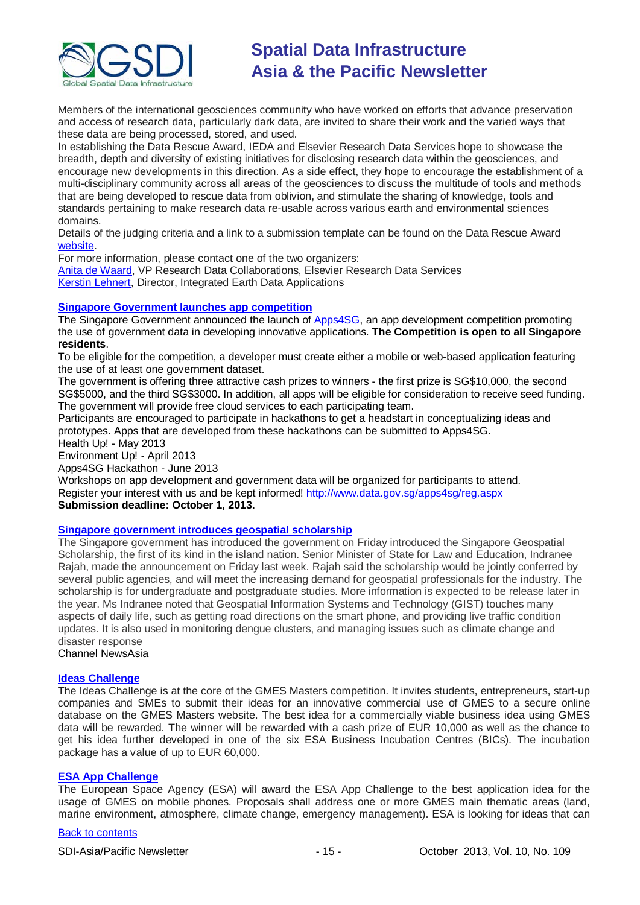

Members of the international geosciences community who have worked on efforts that advance preservation and access of research data, particularly dark data, are invited to share their work and the varied ways that these data are being processed, stored, and used.

In establishing the Data Rescue Award, IEDA and Elsevier Research Data Services hope to showcase the breadth, depth and diversity of existing initiatives for disclosing research data within the geosciences, and encourage new developments in this direction. As a side effect, they hope to encourage the establishment of a multi-disciplinary community across all areas of the geosciences to discuss the multitude of tools and methods that are being developed to rescue data from oblivion, and stimulate the sharing of knowledge, tools and standards pertaining to make research data re-usable across various earth and environmental sciences domains.

Details of the judging criteria and a link to a submission template can be found on the Data Rescue Award [website.](http://research.elsevier.com/datachallenge/)

For more information, please contact one of the two organizers: [Anita de Waard,](mailto:a.dewaard@elsevier.com) VP Research Data Collaborations, Elsevier Research Data Services [Kerstin Lehnert,](mailto:lehnert@ldeo.columbia.edu) Director, Integrated Earth Data Applications

#### **[Singapore Government launches app competition](http://www.futuregov.asia/articles/2013/apr/03/singapore-government-launches-app-competition/)**

The Singapore Government announced the launch of [Apps4SG,](http://www.data.gov.sg/apps4sg/) an app development competition promoting the use of government data in developing innovative applications. **The Competition is open to all Singapore residents**.

To be eligible for the competition, a developer must create either a mobile or web-based application featuring the use of at least one government dataset.

The government is offering three attractive cash prizes to winners - the first prize is SG\$10,000, the second SG\$5000, and the third SG\$3000. In addition, all apps will be eligible for consideration to receive seed funding. The government will provide free cloud services to each participating team.

Participants are encouraged to participate in hackathons to get a headstart in conceptualizing ideas and prototypes. Apps that are developed from these hackathons can be submitted to Apps4SG.

Health Up! - May 2013

Environment Up! - April 2013

Apps4SG Hackathon - June 2013

Workshops on app development and government data will be organized for participants to attend. Register your interest with us and be kept informed! [http://www.data.gov.sg/apps4sg/reg.aspx](https://owa.unimelb.edu.au/owa/redir.aspx?C=SzHNAl626ki9PiQZsK0eOSMT6H7CBtAI1q5ZvdwYeK6fo1dS_t5_M86QLVJxctM5SbXJkOBBAIY.&URL=http%3a%2f%2fwww.data.gov.sg%2fapps4sg%2freg.aspx) **Submission deadline: October 1, 2013.**

### **[Singapore government introduces geospatial scholarship](http://www.channelnewsasia.com/news/singapore/government-introduces/763842.html)**

The Singapore government has introduced the government on Friday introduced the Singapore Geospatial Scholarship, the first of its kind in the island nation. Senior Minister of State for Law and Education, Indranee Rajah, made the announcement on Friday last week. Rajah said the scholarship would be jointly conferred by several public agencies, and will meet the increasing demand for geospatial professionals for the industry. The scholarship is for undergraduate and postgraduate studies. More information is expected to be release later in the year. Ms Indranee noted that Geospatial Information Systems and Technology (GIST) touches many aspects of daily life, such as getting road directions on the smart phone, and providing live traffic condition updates. It is also used in monitoring dengue clusters, and managing issues such as climate change and disaster response

Channel NewsAsia

#### **[Ideas Challenge](http://www.gmes-masters.com/ideas-challenge)**

The Ideas Challenge is at the core of the GMES Masters competition. It invites students, entrepreneurs, start-up companies and SMEs to submit their ideas for an innovative commercial use of GMES to a secure online database on the GMES Masters website. The best idea for a commercially viable business idea using GMES data will be rewarded. The winner will be rewarded with a cash prize of EUR 10,000 as well as the chance to get his idea further developed in one of the six ESA Business Incubation Centres (BICs). The incubation package has a value of up to EUR 60,000.

#### **[ESA App Challenge](http://www.gmes-masters.com/esa-app-challenge)**

The European Space Agency (ESA) will award the ESA App Challenge to the best application idea for the usage of GMES on mobile phones. Proposals shall address one or more GMES main thematic areas (land, marine environment, atmosphere, climate change, emergency management). ESA is looking for ideas that can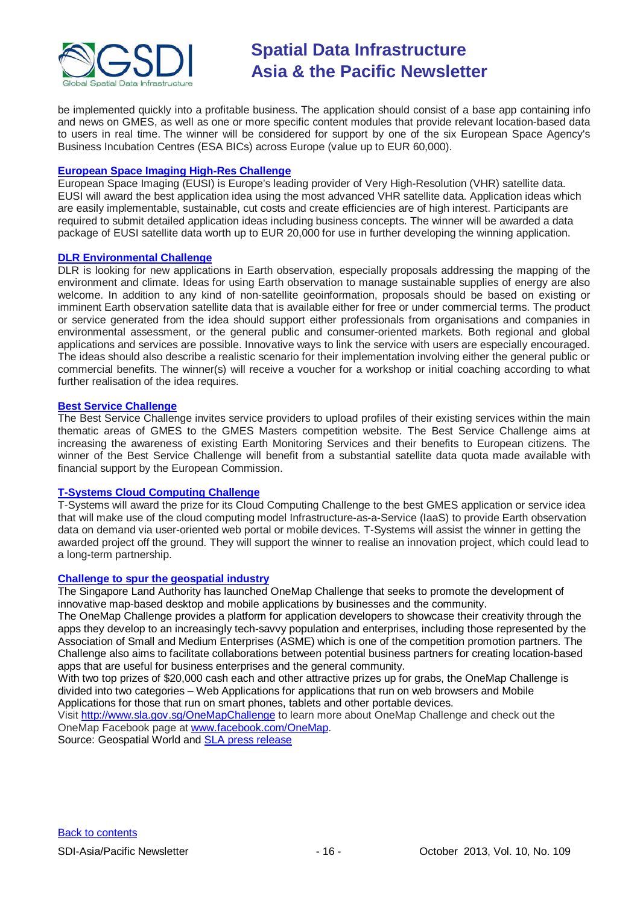

be implemented quickly into a profitable business. The application should consist of a base app containing info and news on GMES, as well as one or more specific content modules that provide relevant location-based data to users in real time. The winner will be considered for support by one of the six European Space Agency's Business Incubation Centres (ESA BICs) across Europe (value up to EUR 60,000).

#### **[European Space Imaging High-Res Challenge](http://www.gmes-masters.com/european-space-0)**

European Space Imaging (EUSI) is Europe's leading provider of Very High-Resolution (VHR) satellite data. EUSI will award the best application idea using the most advanced VHR satellite data. Application ideas which are easily implementable, sustainable, cut costs and create efficiencies are of high interest. Participants are required to submit detailed application ideas including business concepts. The winner will be awarded a data package of EUSI satellite data worth up to EUR 20,000 for use in further developing the winning application.

#### **[DLR Environmental Challenge](http://www.gmes-masters.com/dlr-environmental)**

DLR is looking for new applications in Earth observation, especially proposals addressing the mapping of the environment and climate. Ideas for using Earth observation to manage sustainable supplies of energy are also welcome. In addition to any kind of non-satellite geoinformation, proposals should be based on existing or imminent Earth observation satellite data that is available either for free or under commercial terms. The product or service generated from the idea should support either professionals from organisations and companies in environmental assessment, or the general public and consumer-oriented markets. Both regional and global applications and services are possible. Innovative ways to link the service with users are especially encouraged. The ideas should also describe a realistic scenario for their implementation involving either the general public or commercial benefits. The winner(s) will receive a voucher for a workshop or initial coaching according to what further realisation of the idea requires.

#### **[Best Service Challenge](http://www.gmes-masters.com/best-service)**

The Best Service Challenge invites service providers to upload profiles of their existing services within the main thematic areas of GMES to the GMES Masters competition website. The Best Service Challenge aims at increasing the awareness of existing Earth Monitoring Services and their benefits to European citizens. The winner of the Best Service Challenge will benefit from a substantial satellite data quota made available with financial support by the European Commission.

### **[T-Systems Cloud Computing Challenge](http://www.gmes-masters.com/t-systems-cloud)**

T-Systems will award the prize for its Cloud Computing Challenge to the best GMES application or service idea that will make use of the cloud computing model Infrastructure-as-a-Service (IaaS) to provide Earth observation data on demand via user-oriented web portal or mobile devices. T-Systems will assist the winner in getting the awarded project off the ground. They will support the winner to realise an innovation project, which could lead to a long-term partnership.

#### **[Challenge to spur the geospatial industry](http://geospatialworld.net/index.php?option=com_content&view=article&id=23850:challenge-to-spur-the-geospatial-industry&catid=75:miscellaneous-events)**

The Singapore Land Authority has launched OneMap Challenge that seeks to promote the development of innovative map-based desktop and mobile applications by businesses and the community.

The OneMap Challenge provides a platform for application developers to showcase their creativity through the apps they develop to an increasingly tech-savvy population and enterprises, including those represented by the Association of Small and Medium Enterprises (ASME) which is one of the competition promotion partners. The Challenge also aims to facilitate collaborations between potential business partners for creating location-based apps that are useful for business enterprises and the general community.

With two top prizes of \$20,000 cash each and other attractive prizes up for grabs, the OneMap Challenge is divided into two categories – Web Applications for applications that run on web browsers and Mobile Applications for those that run on smart phones, tablets and other portable devices.

Visit <http://www.sla.gov.sg/OneMapChallenge> to learn more about OneMap Challenge and check out the OneMap Facebook page at [www.facebook.com/OneMap.](http://www.facebook.com/OneMap)

Source: Geospatial World and [SLA press release](http://www.sla.gov.sg/htm/new/new2012/new0401.htm)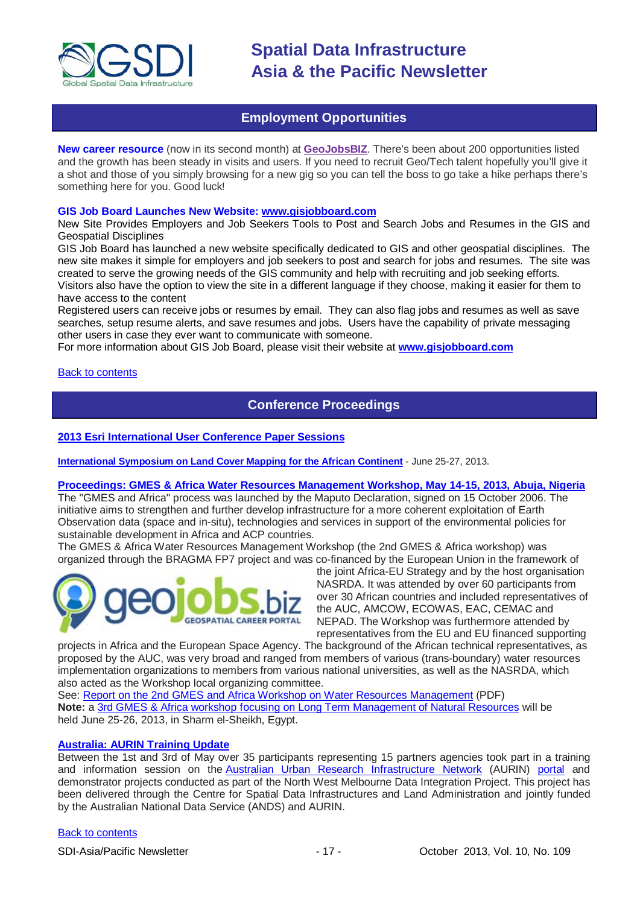

# **Employment Opportunities**

<span id="page-16-0"></span>**New career resource** (now in its second month) at **[GeoJobsBIZ](http://geojobs.biz/)**. There's been about 200 opportunities listed and the growth has been steady in visits and users. If you need to recruit Geo/Tech talent hopefully you'll give it a shot and those of you simply browsing for a new gig so you can tell the boss to go take a hike perhaps there's something here for you. Good luck!

#### **GIS Job Board Launches New Website: [www.gisjobboard.com](http://www.gisjobboard.com/)**

New Site Provides Employers and Job Seekers Tools to Post and Search Jobs and Resumes in the GIS and Geospatial Disciplines

GIS Job Board has launched a new website specifically dedicated to GIS and other geospatial disciplines. The new site makes it simple for employers and job seekers to post and search for jobs and resumes. The site was created to serve the growing needs of the GIS community and help with recruiting and job seeking efforts. Visitors also have the option to view the site in a different language if they choose, making it easier for them to have access to the content

Registered users can receive jobs or resumes by email. They can also flag jobs and resumes as well as save searches, setup resume alerts, and save resumes and jobs. Users have the capability of private messaging other users in case they ever want to communicate with someone.

For more information about GIS Job Board, please visit their website at **[www.gisjobboard.com](http://www.gisjobboard.com/)**

<span id="page-16-1"></span>[Back to contents](#page-0-0)

# **Conference Proceedings**

### **[2013 Esri International User Conference Paper Sessions](http://proceedings.esri.com/library/userconf/proc13/index.html)**

**[International Symposium on Land Cover Mapping for the African Continent](http://data.ess.tsinghua.edu.cn/ISLandCoverAfrica.html)** - June 25-27, 2013.

#### **[Proceedings: GMES & Africa Water Resources Management Workshop, May 14-15, 2013, Abuja, Nigeria](http://capacity4dev.ec.europa.eu/africa-eu-part.gmes/minisite/water-resources-management-workshop-14-15-may-2013-abuja-nigeria)**

The "GMES and Africa" process was launched by the Maputo Declaration, signed on 15 October 2006. The initiative aims to strengthen and further develop infrastructure for a more coherent exploitation of Earth Observation data (space and in-situ), technologies and services in support of the environmental policies for sustainable development in Africa and ACP countries.

The GMES & Africa Water Resources Management Workshop (the 2nd GMES & Africa workshop) was organized through the BRAGMA FP7 project and was co-financed by the European Union in the framework of



the joint Africa-EU Strategy and by the host organisation NASRDA. It was attended by over 60 participants from over 30 African countries and included representatives of the AUC, AMCOW, ECOWAS, EAC, CEMAC and NEPAD. The Workshop was furthermore attended by representatives from the EU and EU financed supporting

projects in Africa and the European Space Agency. The background of the African technical representatives, as proposed by the AUC, was very broad and ranged from members of various (trans-boundary) water resources implementation organizations to members from various national universities, as well as the NASRDA, which also acted as the Workshop local organizing committee.

See: [Report on the 2nd GMES and Africa Workshop on Water Resources Management](http://capacity4dev.ec.europa.eu/sites/default/files/file/23/05/2013_-_1210/report_on_the_2nd_gmes_and_africa_workshop_on_wrm.pdf) (PDF) **Note:** a 3rd [GMES & Africa workshop focusing on Long Term Management of Natural Resources](http://capacity4dev.ec.europa.eu/africa-eu-part.gmes/minisite/3-long-term-management-natural-resources-workshop) will be held June 25-26, 2013, in Sharm el-Sheikh, Egypt.

#### **[Australia: AURIN Training Update](http://blogs.unimelb.edu.au/aurinands/2013/05/13/aurin-training-update/)**

Between the 1st and 3rd of May over 35 participants representing 15 partners agencies took part in a training and information session on the [Australian Urban Research Infrastructure Network](http://aurin.org.au/) (AURIN) [portal](https://apps.aurin.org.au/gate/index.html) and demonstrator projects conducted as part of the North West Melbourne Data Integration Project. This project has been delivered through the Centre for Spatial Data Infrastructures and Land Administration and jointly funded by the Australian National Data Service (ANDS) and AURIN.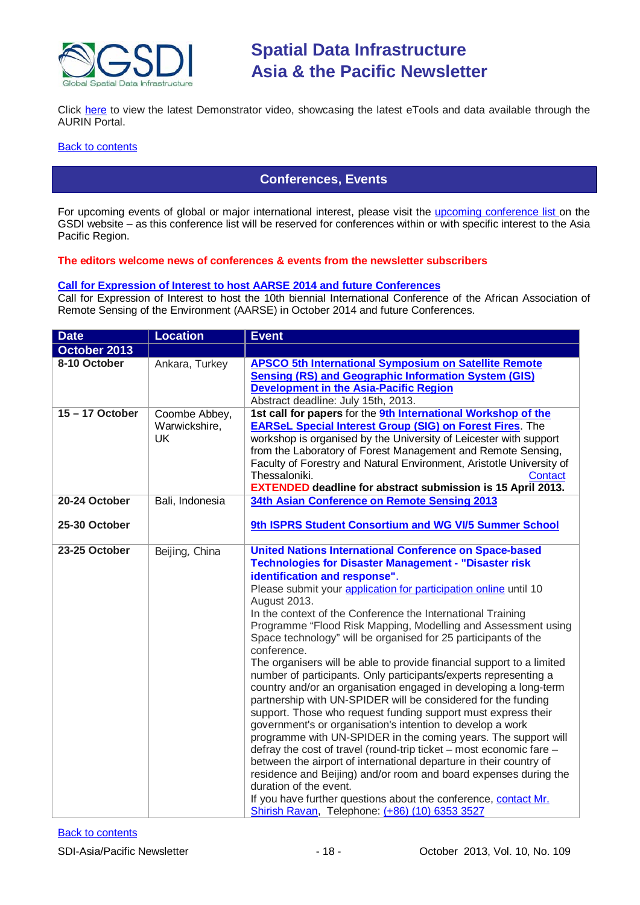

Click [here](http://vimeo.com/62744887) to view the latest Demonstrator video, showcasing the latest eTools and data available through the AURIN Portal.

#### <span id="page-17-0"></span>**[Back to contents](#page-0-0)**

# **Conferences, Events**

For upcoming events of global or major international interest, please visit the [upcoming conference list o](http://gsdi.org/events/upcnf.asp)n the GSDI website – as this conference list will be reserved for conferences within or with specific interest to the Asia Pacific Region.

### **The editors welcome news of conferences & events from the newsletter subscribers**

#### **[Call for Expression of Interest to host AARSE 2014 and future Conferences](http://lists.gsdi.org/pipermail/sdi-africa/2010-November/001135.html)**

Call for Expression of Interest to host the 10th biennial International Conference of the African Association of Remote Sensing of the Environment (AARSE) in October 2014 and future Conferences.

| <b>Date</b>                    | <b>Location</b>                             | <b>Event</b>                                                                                                                                                                                                                                                                                                                                                                                                                                                                                                                                                                                                                                                                                                                                                                                                                                                                                                                                                                                                                                                                                                                                                                                                                                                                                                           |
|--------------------------------|---------------------------------------------|------------------------------------------------------------------------------------------------------------------------------------------------------------------------------------------------------------------------------------------------------------------------------------------------------------------------------------------------------------------------------------------------------------------------------------------------------------------------------------------------------------------------------------------------------------------------------------------------------------------------------------------------------------------------------------------------------------------------------------------------------------------------------------------------------------------------------------------------------------------------------------------------------------------------------------------------------------------------------------------------------------------------------------------------------------------------------------------------------------------------------------------------------------------------------------------------------------------------------------------------------------------------------------------------------------------------|
| October 2013                   |                                             |                                                                                                                                                                                                                                                                                                                                                                                                                                                                                                                                                                                                                                                                                                                                                                                                                                                                                                                                                                                                                                                                                                                                                                                                                                                                                                                        |
| 8-10 October                   | Ankara, Turkey                              | <b>APSCO 5th International Symposium on Satellite Remote</b><br><b>Sensing (RS) and Geographic Information System (GIS)</b><br><b>Development in the Asia-Pacific Region</b><br>Abstract deadline: July 15th, 2013.                                                                                                                                                                                                                                                                                                                                                                                                                                                                                                                                                                                                                                                                                                                                                                                                                                                                                                                                                                                                                                                                                                    |
| $15 - 17$ October              | Coombe Abbey,<br>Warwickshire,<br><b>UK</b> | 1st call for papers for the <b>9th International Workshop of the</b><br><b>EARSeL Special Interest Group (SIG) on Forest Fires.</b> The<br>workshop is organised by the University of Leicester with support<br>from the Laboratory of Forest Management and Remote Sensing,<br>Faculty of Forestry and Natural Environment, Aristotle University of<br>Thessaloniki.<br>Contact<br><b>EXTENDED deadline for abstract submission is 15 April 2013.</b>                                                                                                                                                                                                                                                                                                                                                                                                                                                                                                                                                                                                                                                                                                                                                                                                                                                                 |
| 20-24 October<br>25-30 October | Bali, Indonesia                             | 34th Asian Conference on Remote Sensing 2013<br>9th ISPRS Student Consortium and WG VI/5 Summer School                                                                                                                                                                                                                                                                                                                                                                                                                                                                                                                                                                                                                                                                                                                                                                                                                                                                                                                                                                                                                                                                                                                                                                                                                 |
| 23-25 October                  | Beijing, China                              | <b>United Nations International Conference on Space-based</b><br><b>Technologies for Disaster Management - "Disaster risk</b><br>identification and response".<br>Please submit your application for participation online until 10<br>August 2013.<br>In the context of the Conference the International Training<br>Programme "Flood Risk Mapping, Modelling and Assessment using<br>Space technology" will be organised for 25 participants of the<br>conference.<br>The organisers will be able to provide financial support to a limited<br>number of participants. Only participants/experts representing a<br>country and/or an organisation engaged in developing a long-term<br>partnership with UN-SPIDER will be considered for the funding<br>support. Those who request funding support must express their<br>government's or organisation's intention to develop a work<br>programme with UN-SPIDER in the coming years. The support will<br>defray the cost of travel (round-trip ticket - most economic fare -<br>between the airport of international departure in their country of<br>residence and Beijing) and/or room and board expenses during the<br>duration of the event.<br>If you have further questions about the conference, contact Mr.<br>Shirish Ravan, Telephone: (+86) (10) 6353 3527 |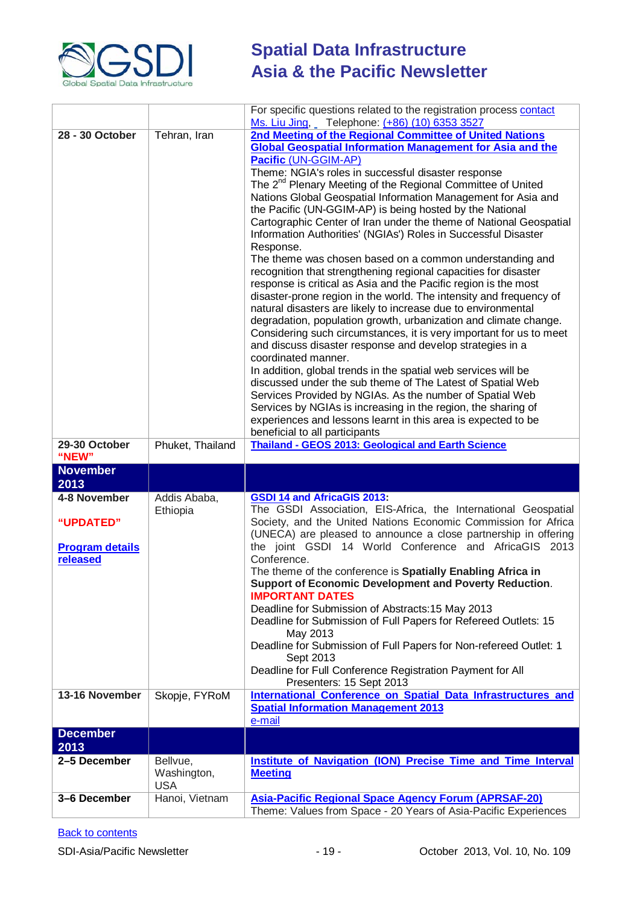

|                                    |                              | For specific questions related to the registration process contact                                                       |
|------------------------------------|------------------------------|--------------------------------------------------------------------------------------------------------------------------|
| 28 - 30 October                    | Tehran, Iran                 | Ms. Liu Jing, Telephone: (+86) (10) 6353 3527<br>2nd Meeting of the Regional Committee of United Nations                 |
|                                    |                              | <b>Global Geospatial Information Management for Asia and the</b>                                                         |
|                                    |                              | Pacific (UN-GGIM-AP)                                                                                                     |
|                                    |                              | Theme: NGIA's roles in successful disaster response                                                                      |
|                                    |                              | The 2 <sup>nd</sup> Plenary Meeting of the Regional Committee of United                                                  |
|                                    |                              | Nations Global Geospatial Information Management for Asia and                                                            |
|                                    |                              | the Pacific (UN-GGIM-AP) is being hosted by the National                                                                 |
|                                    |                              | Cartographic Center of Iran under the theme of National Geospatial                                                       |
|                                    |                              | Information Authorities' (NGIAs') Roles in Successful Disaster                                                           |
|                                    |                              | Response.<br>The theme was chosen based on a common understanding and                                                    |
|                                    |                              | recognition that strengthening regional capacities for disaster                                                          |
|                                    |                              | response is critical as Asia and the Pacific region is the most                                                          |
|                                    |                              | disaster-prone region in the world. The intensity and frequency of                                                       |
|                                    |                              | natural disasters are likely to increase due to environmental                                                            |
|                                    |                              | degradation, population growth, urbanization and climate change.                                                         |
|                                    |                              | Considering such circumstances, it is very important for us to meet                                                      |
|                                    |                              | and discuss disaster response and develop strategies in a<br>coordinated manner.                                         |
|                                    |                              | In addition, global trends in the spatial web services will be                                                           |
|                                    |                              | discussed under the sub theme of The Latest of Spatial Web                                                               |
|                                    |                              | Services Provided by NGIAs. As the number of Spatial Web                                                                 |
|                                    |                              | Services by NGIAs is increasing in the region, the sharing of                                                            |
|                                    |                              | experiences and lessons learnt in this area is expected to be                                                            |
|                                    |                              | beneficial to all participants                                                                                           |
| 29-30 October<br>"NEW"             | Phuket, Thailand             | <b>Thailand - GEOS 2013: Geological and Earth Science</b>                                                                |
|                                    |                              |                                                                                                                          |
| <b>November</b>                    |                              |                                                                                                                          |
| 2013                               |                              |                                                                                                                          |
| 4-8 November                       | Addis Ababa,                 | <b>GSDI 14 and AfricaGIS 2013:</b>                                                                                       |
|                                    | Ethiopia                     | The GSDI Association, EIS-Africa, the International Geospatial                                                           |
| "UPDATED"                          |                              | Society, and the United Nations Economic Commission for Africa                                                           |
|                                    |                              | (UNECA) are pleased to announce a close partnership in offering<br>the joint GSDI 14 World Conference and AfricaGIS 2013 |
| <b>Program details</b><br>released |                              | Conference.                                                                                                              |
|                                    |                              | The theme of the conference is Spatially Enabling Africa in                                                              |
|                                    |                              | Support of Economic Development and Poverty Reduction.                                                                   |
|                                    |                              | <b>IMPORTANT DATES</b>                                                                                                   |
|                                    |                              | Deadline for Submission of Abstracts: 15 May 2013                                                                        |
|                                    |                              | Deadline for Submission of Full Papers for Refereed Outlets: 15<br>May 2013                                              |
|                                    |                              | Deadline for Submission of Full Papers for Non-refereed Outlet: 1                                                        |
|                                    |                              | Sept 2013                                                                                                                |
|                                    |                              | Deadline for Full Conference Registration Payment for All                                                                |
|                                    |                              | Presenters: 15 Sept 2013                                                                                                 |
| 13-16 November                     | Skopje, FYRoM                | International Conference on Spatial Data Infrastructures and<br><b>Spatial Information Management 2013</b>               |
|                                    |                              | e-mail                                                                                                                   |
| <b>December</b>                    |                              |                                                                                                                          |
| 2013                               |                              |                                                                                                                          |
| 2-5 December                       | Bellvue,                     | <b>Institute of Navigation (ION) Precise Time and Time Interval</b>                                                      |
|                                    | Washington,                  | <b>Meeting</b>                                                                                                           |
| 3-6 December                       | <b>USA</b><br>Hanoi, Vietnam | <b>Asia-Pacific Regional Space Agency Forum (APRSAF-20)</b>                                                              |